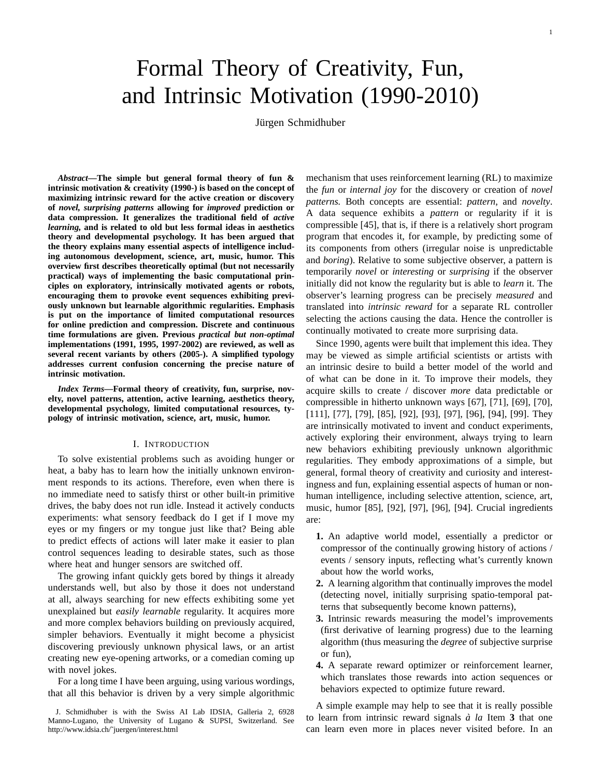1

# Formal Theory of Creativity, Fun, and Intrinsic Motivation (1990-2010)

Jürgen Schmidhuber

*Abstract***—The simple but general formal theory of fun & intrinsic motivation & creativity (1990-) is based on the concept of maximizing intrinsic reward for the active creation or discovery of** *novel, surprising patterns* **allowing for** *improved* **prediction or data compression. It generalizes the traditional field of** *active learning,* **and is related to old but less formal ideas in aesthetics theory and developmental psychology. It has been argued that the theory explains many essential aspects of intelligence including autonomous development, science, art, music, humor. This overview first describes theoretically optimal (but not necessarily practical) ways of implementing the basic computational principles on exploratory, intrinsically motivated agents or robots, encouraging them to provoke event sequences exhibiting previously unknown but learnable algorithmic regularities. Emphasis is put on the importance of limited computational resources for online prediction and compression. Discrete and continuous time formulations are given. Previous** *practical but non-optimal* **implementations (1991, 1995, 1997-2002) are reviewed, as well as several recent variants by others (2005-). A simplified typology addresses current confusion concerning the precise nature of intrinsic motivation.**

*Index Terms***—Formal theory of creativity, fun, surprise, novelty, novel patterns, attention, active learning, aesthetics theory, developmental psychology, limited computational resources, typology of intrinsic motivation, science, art, music, humor.**

#### I. INTRODUCTION

To solve existential problems such as avoiding hunger or heat, a baby has to learn how the initially unknown environment responds to its actions. Therefore, even when there is no immediate need to satisfy thirst or other built-in primitive drives, the baby does not run idle. Instead it actively conducts experiments: what sensory feedback do I get if I move my eyes or my fingers or my tongue just like that? Being able to predict effects of actions will later make it easier to plan control sequences leading to desirable states, such as those where heat and hunger sensors are switched off.

The growing infant quickly gets bored by things it already understands well, but also by those it does not understand at all, always searching for new effects exhibiting some yet unexplained but *easily learnable* regularity. It acquires more and more complex behaviors building on previously acquired, simpler behaviors. Eventually it might become a physicist discovering previously unknown physical laws, or an artist creating new eye-opening artworks, or a comedian coming up with novel jokes.

For a long time I have been arguing, using various wordings, that all this behavior is driven by a very simple algorithmic

mechanism that uses reinforcement learning (RL) to maximize the *fun* or *internal joy* for the discovery or creation of *novel patterns.* Both concepts are essential: *pattern*, and *novelty*. A data sequence exhibits a *pattern* or regularity if it is compressible [45], that is, if there is a relatively short program program that encodes it, for example, by predicting some of its components from others (irregular noise is unpredictable and *boring*). Relative to some subjective observer, a pattern is temporarily *novel* or *interesting* or *surprising* if the observer initially did not know the regularity but is able to *learn* it. The observer's learning progress can be precisely *measured* and translated into *intrinsic reward* for a separate RL controller selecting the actions causing the data. Hence the controller is continually motivated to create more surprising data.

Since 1990, agents were built that implement this idea. They may be viewed as simple artificial scientists or artists with an intrinsic desire to build a better model of the world and of what can be done in it. To improve their models, they acquire skills to create / discover *more* data predictable or compressible in hitherto unknown ways [67], [71], [69], [70], [111], [77], [79], [85], [92], [93], [97], [96], [94], [99]. They are intrinsically motivated to invent and conduct experiments, actively exploring their environment, always trying to learn new behaviors exhibiting previously unknown algorithmic regularities. They embody approximations of a simple, but general, formal theory of creativity and curiosity and interestingness and fun, explaining essential aspects of human or nonhuman intelligence, including selective attention, science, art, music, humor [85], [92], [97], [96], [94]. Crucial ingredients are:

- **1.** An adaptive world model, essentially a predictor or compressor of the continually growing history of actions / events / sensory inputs, reflecting what's currently known about how the world works,
- **2.** A learning algorithm that continually improves the model (detecting novel, initially surprising spatio-temporal patterns that subsequently become known patterns),
- **3.** Intrinsic rewards measuring the model's improvements (first derivative of learning progress) due to the learning algorithm (thus measuring the *degree* of subjective surprise or fun),
- **4.** A separate reward optimizer or reinforcement learner, which translates those rewards into action sequences or behaviors expected to optimize future reward.

A simple example may help to see that it is really possible to learn from intrinsic reward signals  $\hat{a}$  *la* Item 3 that one can learn even more in places never visited before. In an

J. Schmidhuber is with the Swiss AI Lab IDSIA, Galleria 2, 6928 Manno-Lugano, the University of Lugano & SUPSI, Switzerland. See http://www.idsia.ch/˜juergen/interest.html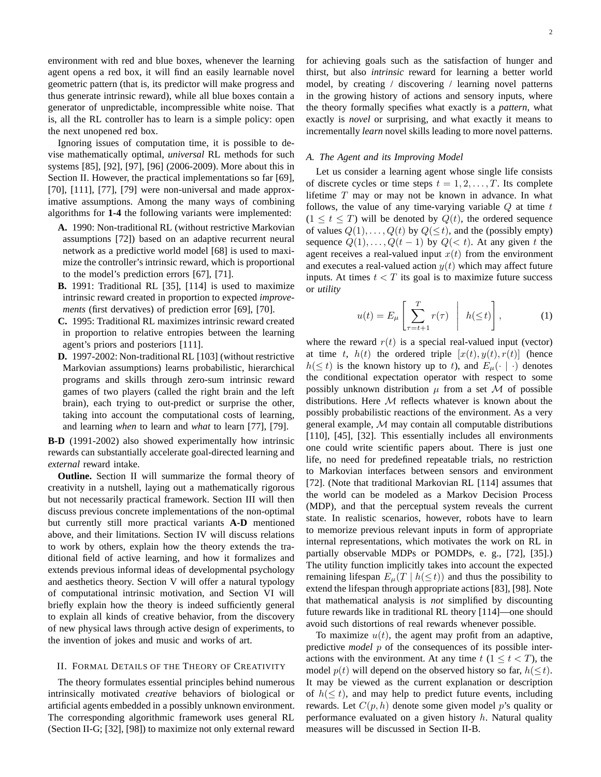environment with red and blue boxes, whenever the learning agent opens a red box, it will find an easily learnable novel geometric pattern (that is, its predictor will make progress and thus generate intrinsic reward), while all blue boxes contain a generator of unpredictable, incompressible white noise. That is, all the RL controller has to learn is a simple policy: open the next unopened red box.

Ignoring issues of computation time, it is possible to devise mathematically optimal, *universal* RL methods for such systems [85], [92], [97], [96] (2006-2009). More about this in Section II. However, the practical implementations so far [69], [70], [111], [77], [79] were non-universal and made approximative assumptions. Among the many ways of combining algorithms for **1-4** the following variants were implemented:

- **A.** 1990: Non-traditional RL (without restrictive Markovian assumptions [72]) based on an adaptive recurrent neural network as a predictive world model [68] is used to maximize the controller's intrinsic reward, which is proportional to the model's prediction errors [67], [71].
- **B.** 1991: Traditional RL [35], [114] is used to maximize intrinsic reward created in proportion to expected *improvements* (first dervatives) of prediction error [69], [70].
- **C.** 1995: Traditional RL maximizes intrinsic reward created in proportion to relative entropies between the learning agent's priors and posteriors [111].
- **D.** 1997-2002: Non-traditional RL [103] (without restrictive Markovian assumptions) learns probabilistic, hierarchical programs and skills through zero-sum intrinsic reward games of two players (called the right brain and the left brain), each trying to out-predict or surprise the other, taking into account the computational costs of learning, and learning *when* to learn and *what* to learn [77], [79].

**B-D** (1991-2002) also showed experimentally how intrinsic rewards can substantially accelerate goal-directed learning and *external* reward intake.

**Outline.** Section II will summarize the formal theory of creativity in a nutshell, laying out a mathematically rigorous but not necessarily practical framework. Section III will then discuss previous concrete implementations of the non-optimal but currently still more practical variants **A-D** mentioned above, and their limitations. Section IV will discuss relations to work by others, explain how the theory extends the traditional field of active learning, and how it formalizes and extends previous informal ideas of developmental psychology and aesthetics theory. Section V will offer a natural typology of computational intrinsic motivation, and Section VI will briefly explain how the theory is indeed sufficiently general to explain all kinds of creative behavior, from the discovery of new physical laws through active design of experiments, to the invention of jokes and music and works of art.

#### II. FORMAL DETAILS OF THE THEORY OF CREATIVITY

The theory formulates essential principles behind numerous intrinsically motivated *creative* behaviors of biological or artificial agents embedded in a possibly unknown environment. The corresponding algorithmic framework uses general RL (Section II-G; [32], [98]) to maximize not only external reward for achieving goals such as the satisfaction of hunger and thirst, but also *intrinsic* reward for learning a better world model, by creating / discovering / learning novel patterns in the growing history of actions and sensory inputs, where the theory formally specifies what exactly is a *pattern*, what exactly is *novel* or surprising, and what exactly it means to incrementally *learn* novel skills leading to more novel patterns.

#### *A. The Agent and its Improving Model*

Let us consider a learning agent whose single life consists of discrete cycles or time steps  $t = 1, 2, \ldots, T$ . Its complete lifetime T may or may not be known in advance. In what follows, the value of any time-varying variable  $Q$  at time  $t$  $(1 \leq t \leq T)$  will be denoted by  $Q(t)$ , the ordered sequence of values  $Q(1), \ldots, Q(t)$  by  $Q(\leq t)$ , and the (possibly empty) sequence  $Q(1), \ldots, Q(t-1)$  by  $Q( $t$ ). At any given  $t$  the$ agent receives a real-valued input  $x(t)$  from the environment and executes a real-valued action  $y(t)$  which may affect future inputs. At times  $t < T$  its goal is to maximize future success or *utility*

$$
u(t) = E_{\mu} \left[ \sum_{\tau=t+1}^{T} r(\tau) \mid h(\leq t) \right], \tag{1}
$$

where the reward  $r(t)$  is a special real-valued input (vector) at time t,  $h(t)$  the ordered triple  $[x(t), y(t), r(t)]$  (hence  $h(\leq t)$  is the known history up to t), and  $E_{\mu}(\cdot | \cdot)$  denotes the conditional expectation operator with respect to some possibly unknown distribution  $\mu$  from a set M of possible distributions. Here  $M$  reflects whatever is known about the possibly probabilistic reactions of the environment. As a very general example,  $M$  may contain all computable distributions [110], [45], [32]. This essentially includes all environments one could write scientific papers about. There is just one life, no need for predefined repeatable trials, no restriction to Markovian interfaces between sensors and environment [72]. (Note that traditional Markovian RL [114] assumes that the world can be modeled as a Markov Decision Process (MDP), and that the perceptual system reveals the current state. In realistic scenarios, however, robots have to learn to memorize previous relevant inputs in form of appropriate internal representations, which motivates the work on RL in partially observable MDPs or POMDPs, e. g., [72], [35].) The utility function implicitly takes into account the expected remaining lifespan  $E_{\mu}(T \mid h(\leq t))$  and thus the possibility to extend the lifespan through appropriate actions [83], [98]. Note that mathematical analysis is *not* simplified by discounting future rewards like in traditional RL theory [114]—one should avoid such distortions of real rewards whenever possible.

To maximize  $u(t)$ , the agent may profit from an adaptive, predictive *model* p of the consequences of its possible interactions with the environment. At any time  $t$  ( $1 \le t < T$ ), the model  $p(t)$  will depend on the observed history so far,  $h(\leq t)$ . It may be viewed as the current explanation or description of  $h(\leq t)$ , and may help to predict future events, including rewards. Let  $C(p, h)$  denote some given model p's quality or performance evaluated on a given history  $h$ . Natural quality measures will be discussed in Section II-B.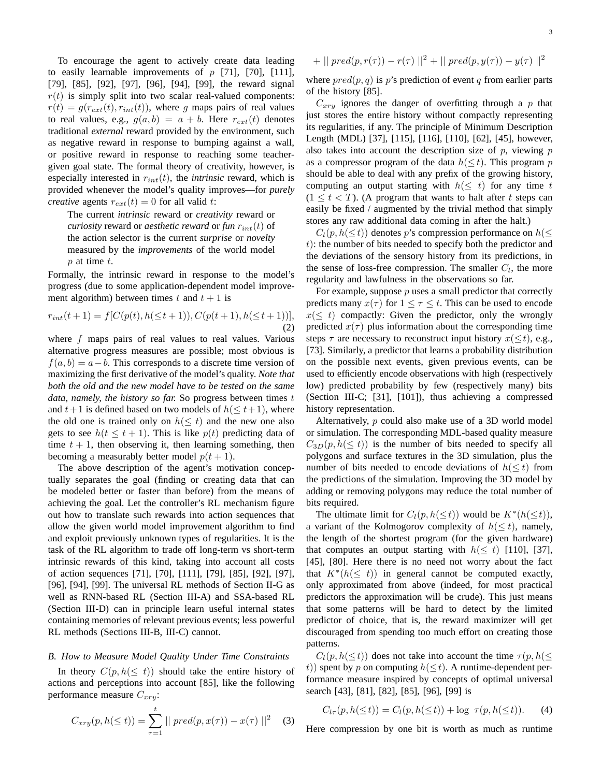To encourage the agent to actively create data leading to easily learnable improvements of  $p$  [71], [70], [111], [79], [85], [92], [97], [96], [94], [99], the reward signal  $r(t)$  is simply split into two scalar real-valued components:  $r(t) = g(r_{ext}(t), r_{int}(t))$ , where g maps pairs of real values to real values, e.g.,  $g(a, b) = a + b$ . Here  $r_{ext}(t)$  denotes traditional *external* reward provided by the environment, such as negative reward in response to bumping against a wall, or positive reward in response to reaching some teachergiven goal state. The formal theory of creativity, however, is especially interested in  $r_{int}(t)$ , the *intrinsic* reward, which is provided whenever the model's quality improves—for *purely creative* agents  $r_{ext}(t) = 0$  for all valid t:

The current *intrinsic* reward or *creativity* reward or *curiosity* reward or *aesthetic reward* or *fun*  $r_{int}(t)$  of the action selector is the current *surprise* or *novelty* measured by the *improvements* of the world model p at time t.

Formally, the intrinsic reward in response to the model's progress (due to some application-dependent model improvement algorithm) between times t and  $t + 1$  is

$$
r_{int}(t+1) = f[C(p(t), h(\leq t+1)), C(p(t+1), h(\leq t+1))],
$$
\n(2)

where  $f$  maps pairs of real values to real values. Various alternative progress measures are possible; most obvious is  $f(a, b) = a - b$ . This corresponds to a discrete time version of maximizing the first derivative of the model's quality. *Note that both the old and the new model have to be tested on the same data, namely, the history so far.* So progress between times t and  $t+1$  is defined based on two models of  $h \leq t+1$ , where the old one is trained only on  $h(\leq t)$  and the new one also gets to see  $h(t \leq t + 1)$ . This is like  $p(t)$  predicting data of time  $t + 1$ , then observing it, then learning something, then becoming a measurably better model  $p(t + 1)$ .

The above description of the agent's motivation conceptually separates the goal (finding or creating data that can be modeled better or faster than before) from the means of achieving the goal. Let the controller's RL mechanism figure out how to translate such rewards into action sequences that allow the given world model improvement algorithm to find and exploit previously unknown types of regularities. It is the task of the RL algorithm to trade off long-term vs short-term intrinsic rewards of this kind, taking into account all costs of action sequences [71], [70], [111], [79], [85], [92], [97], [96], [94], [99]. The universal RL methods of Section II-G as well as RNN-based RL (Section III-A) and SSA-based RL (Section III-D) can in principle learn useful internal states containing memories of relevant previous events; less powerful RL methods (Sections III-B, III-C) cannot.

#### *B. How to Measure Model Quality Under Time Constraints*

In theory  $C(p, h(\leq t))$  should take the entire history of actions and perceptions into account [85], like the following performance measure  $C_{xry}$ :

$$
C_{xry}(p, h(\le t)) = \sum_{\tau=1}^t || pred(p, x(\tau)) - x(\tau) ||^2 \quad (3)
$$

3

+ 
$$
||\text{ pred}(p, r(\tau)) - r(\tau) ||^2 + ||\text{ pred}(p, y(\tau)) - y(\tau) ||^2
$$

where  $pred(p, q)$  is p's prediction of event q from earlier parts of the history [85].

 $C_{xry}$  ignores the danger of overfitting through a p that just stores the entire history without compactly representing its regularities, if any. The principle of Minimum Description Length (MDL) [37], [115], [116], [110], [62], [45], however, also takes into account the description size of  $p$ , viewing  $p$ as a compressor program of the data  $h(\leq t)$ . This program p should be able to deal with any prefix of the growing history, computing an output starting with  $h(\leq t)$  for any time t  $(1 \leq t < T)$ . (A program that wants to halt after t steps can easily be fixed / augmented by the trivial method that simply stores any raw additional data coming in after the halt.)

 $C_l(p, h(\leq t))$  denotes p's compression performance on  $h(\leq t)$ t): the number of bits needed to specify both the predictor and the deviations of the sensory history from its predictions, in the sense of loss-free compression. The smaller  $C_l$ , the more regularity and lawfulness in the observations so far.

For example, suppose  $p$  uses a small predictor that correctly predicts many  $x(\tau)$  for  $1 \leq \tau \leq t$ . This can be used to encode  $x \leq t$  compactly: Given the predictor, only the wrongly predicted  $x(\tau)$  plus information about the corresponding time steps  $\tau$  are necessary to reconstruct input history  $x(\leq t)$ , e.g., [73]. Similarly, a predictor that learns a probability distribution on the possible next events, given previous events, can be used to efficiently encode observations with high (respectively low) predicted probability by few (respectively many) bits (Section III-C; [31], [101]), thus achieving a compressed history representation.

Alternatively, p could also make use of a 3D world model or simulation. The corresponding MDL-based quality measure  $C_{3D}(p, h(< t))$  is the number of bits needed to specify all polygons and surface textures in the 3D simulation, plus the number of bits needed to encode deviations of  $h(\leq t)$  from the predictions of the simulation. Improving the 3D model by adding or removing polygons may reduce the total number of bits required.

The ultimate limit for  $C_l(p, h(\leq t))$  would be  $K^*(h(\leq t))$ , a variant of the Kolmogorov complexity of  $h(\leq t)$ , namely, the length of the shortest program (for the given hardware) that computes an output starting with  $h(\leq t)$  [110], [37], [45], [80]. Here there is no need not worry about the fact that  $K^*(h(\leq t))$  in general cannot be computed exactly, only approximated from above (indeed, for most practical predictors the approximation will be crude). This just means that some patterns will be hard to detect by the limited predictor of choice, that is, the reward maximizer will get discouraged from spending too much effort on creating those patterns.

 $C_l(p, h(\leq t))$  does not take into account the time  $\tau(p, h(\leq t))$ t)) spent by p on computing  $h(\leq t)$ . A runtime-dependent performance measure inspired by concepts of optimal universal search [43], [81], [82], [85], [96], [99] is

$$
C_{l\tau}(p, h(\le t)) = C_{l}(p, h(\le t)) + \log \ \tau(p, h(\le t)). \tag{4}
$$

Here compression by one bit is worth as much as runtime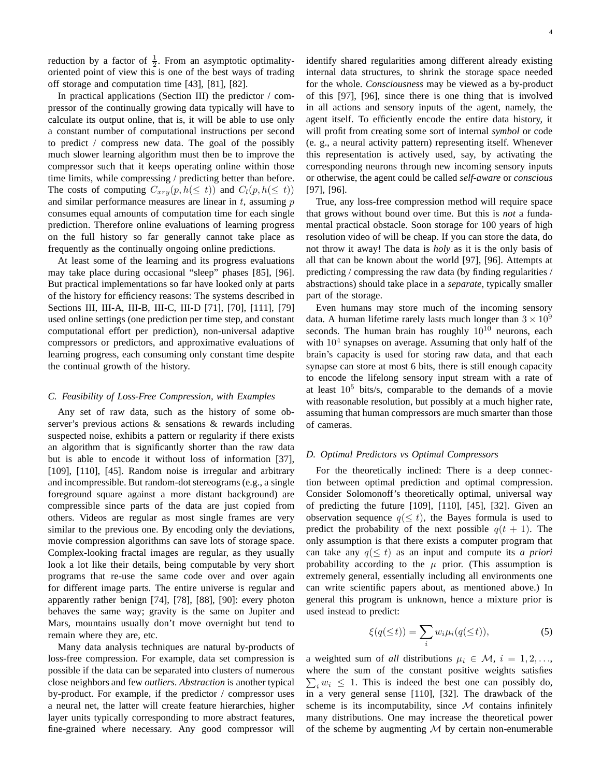reduction by a factor of  $\frac{1}{2}$ . From an asymptotic optimalityoriented point of view this is one of the best ways of trading off storage and computation time [43], [81], [82].

In practical applications (Section III) the predictor / compressor of the continually growing data typically will have to calculate its output online, that is, it will be able to use only a constant number of computational instructions per second to predict / compress new data. The goal of the possibly much slower learning algorithm must then be to improve the compressor such that it keeps operating online within those time limits, while compressing / predicting better than before. The costs of computing  $C_{xry}(p, h(\leq t))$  and  $C_l(p, h(\leq t))$ and similar performance measures are linear in  $t$ , assuming  $p$ consumes equal amounts of computation time for each single prediction. Therefore online evaluations of learning progress on the full history so far generally cannot take place as frequently as the continually ongoing online predictions.

At least some of the learning and its progress evaluations may take place during occasional "sleep" phases [85], [96]. But practical implementations so far have looked only at parts of the history for efficiency reasons: The systems described in Sections III, III-A, III-B, III-C, III-D [71], [70], [111], [79] used online settings (one prediction per time step, and constant computational effort per prediction), non-universal adaptive compressors or predictors, and approximative evaluations of learning progress, each consuming only constant time despite the continual growth of the history.

## *C. Feasibility of Loss-Free Compression, with Examples*

Any set of raw data, such as the history of some observer's previous actions & sensations & rewards including suspected noise, exhibits a pattern or regularity if there exists an algorithm that is significantly shorter than the raw data but is able to encode it without loss of information [37], [109], [110], [45]. Random noise is irregular and arbitrary and incompressible. But random-dot stereograms (e.g., a single foreground square against a more distant background) are compressible since parts of the data are just copied from others. Videos are regular as most single frames are very similar to the previous one. By encoding only the deviations, movie compression algorithms can save lots of storage space. Complex-looking fractal images are regular, as they usually look a lot like their details, being computable by very short programs that re-use the same code over and over again for different image parts. The entire universe is regular and apparently rather benign [74], [78], [88], [90]: every photon behaves the same way; gravity is the same on Jupiter and Mars, mountains usually don't move overnight but tend to remain where they are, etc.

Many data analysis techniques are natural by-products of loss-free compression. For example, data set compression is possible if the data can be separated into clusters of numerous close neighbors and few *outliers*. *Abstraction* is another typical by-product. For example, if the predictor / compressor uses a neural net, the latter will create feature hierarchies, higher layer units typically corresponding to more abstract features, fine-grained where necessary. Any good compressor will

identify shared regularities among different already existing internal data structures, to shrink the storage space needed for the whole. *Consciousness* may be viewed as a by-product of this [97], [96], since there is one thing that is involved in all actions and sensory inputs of the agent, namely, the agent itself. To efficiently encode the entire data history, it will profit from creating some sort of internal *symbol* or code (e. g., a neural activity pattern) representing itself. Whenever this representation is actively used, say, by activating the corresponding neurons through new incoming sensory inputs or otherwise, the agent could be called *self-aware* or *conscious* [97], [96].

True, any loss-free compression method will require space that grows without bound over time. But this is *not* a fundamental practical obstacle. Soon storage for 100 years of high resolution video of will be cheap. If you can store the data, do not throw it away! The data is *holy* as it is the only basis of all that can be known about the world [97], [96]. Attempts at predicting / compressing the raw data (by finding regularities / abstractions) should take place in a *separate*, typically smaller part of the storage.

Even humans may store much of the incoming sensory data. A human lifetime rarely lasts much longer than  $3 \times 10^9$ seconds. The human brain has roughly  $10^{10}$  neurons, each with  $10^4$  synapses on average. Assuming that only half of the brain's capacity is used for storing raw data, and that each synapse can store at most 6 bits, there is still enough capacity to encode the lifelong sensory input stream with a rate of at least  $10^5$  bits/s, comparable to the demands of a movie with reasonable resolution, but possibly at a much higher rate. assuming that human compressors are much smarter than those of cameras.

#### *D. Optimal Predictors vs Optimal Compressors*

For the theoretically inclined: There is a deep connection between optimal prediction and optimal compression. Consider Solomonoff's theoretically optimal, universal way of predicting the future [109], [110], [45], [32]. Given an observation sequence  $q(\leq t)$ , the Bayes formula is used to predict the probability of the next possible  $q(t + 1)$ . The only assumption is that there exists a computer program that can take any  $q(\leq t)$  as an input and compute its *a priori* probability according to the  $\mu$  prior. (This assumption is extremely general, essentially including all environments one can write scientific papers about, as mentioned above.) In general this program is unknown, hence a mixture prior is used instead to predict:

$$
\xi(q(\leq t)) = \sum_{i} w_i \mu_i(q(\leq t)),\tag{5}
$$

a weighted sum of *all* distributions  $\mu_i \in \mathcal{M}, i = 1, 2, \ldots$ where the sum of the constant positive weights satisfies  $\sum_i w_i \leq 1$ . This is indeed the best one can possibly do, in a very general sense [110], [32]. The drawback of the scheme is its incomputability, since  $M$  contains infinitely many distributions. One may increase the theoretical power of the scheme by augmenting  $M$  by certain non-enumerable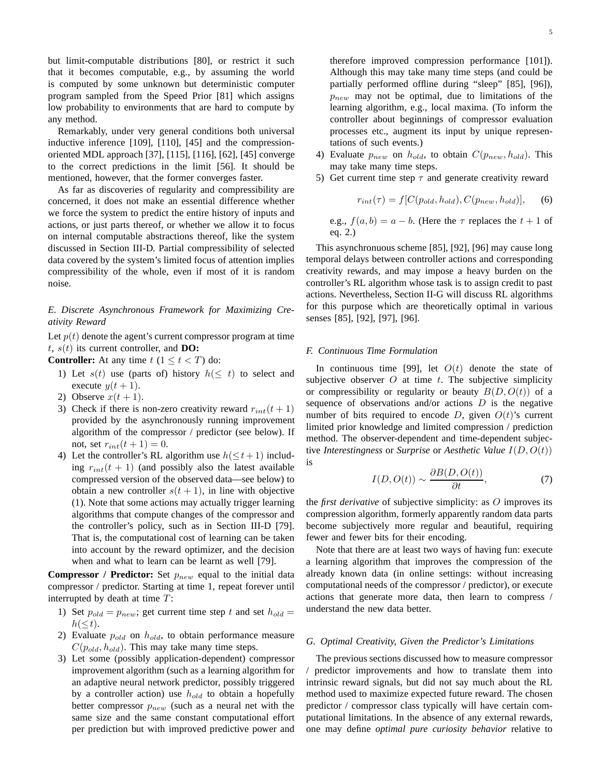but limit-computable distributions [80], or restrict it such that it becomes computable, e.g., by assuming the world is computed by some unknown but deterministic computer program sampled from the Speed Prior [81] which assigns low probability to environments that are hard to compute by any method.

Remarkably, under very general conditions both universal inductive inference [109], [110], [45] and the compressionoriented MDL approach [37], [115], [116], [62], [45] converge to the correct predictions in the limit [56]. It should be mentioned, however, that the former converges faster.

As far as discoveries of regularity and compressibility are concerned, it does not make an essential difference whether we force the system to predict the entire history of inputs and actions, or just parts thereof, or whether we allow it to focus on internal computable abstractions thereof, like the system discussed in Section III-D. Partial compressibility of selected data covered by the system's limited focus of attention implies compressibility of the whole, even if most of it is random noise.

## *E. Discrete Asynchronous Framework for Maximizing Creativity Reward*

Let  $p(t)$  denote the agent's current compressor program at time t, s(t) its current controller, and **DO:**

**Controller:** At any time  $t$  ( $1 \le t < T$ ) do:

- 1) Let  $s(t)$  use (parts of) history  $h \leq t$  to select and execute  $y(t+1)$ .
- 2) Observe  $x(t + 1)$ .
- 3) Check if there is non-zero creativity reward  $r_{int}(t + 1)$ provided by the asynchronously running improvement algorithm of the compressor / predictor (see below). If not, set  $r_{int}(t + 1) = 0$ .
- 4) Let the controller's RL algorithm use  $h(\leq t+1)$  including  $r_{int}(t + 1)$  (and possibly also the latest available compressed version of the observed data—see below) to obtain a new controller  $s(t + 1)$ , in line with objective (1). Note that some actions may actually trigger learning algorithms that compute changes of the compressor and the controller's policy, such as in Section III-D [79]. That is, the computational cost of learning can be taken into account by the reward optimizer, and the decision when and what to learn can be learnt as well [79].

**Compressor / Predictor:** Set  $p_{new}$  equal to the initial data compressor / predictor. Starting at time 1, repeat forever until interrupted by death at time  $T$ :

- 1) Set  $p_{old} = p_{new}$ ; get current time step t and set  $h_{old} =$  $h(<sub>t</sub>)$ .
- 2) Evaluate  $p_{old}$  on  $h_{old}$ , to obtain performance measure  $C(p_{old}, h_{old})$ . This may take many time steps.
- 3) Let some (possibly application-dependent) compressor improvement algorithm (such as a learning algorithm for an adaptive neural network predictor, possibly triggered by a controller action) use  $h_{old}$  to obtain a hopefully better compressor  $p_{new}$  (such as a neural net with the same size and the same constant computational effort per prediction but with improved predictive power and

therefore improved compression performance [101]). Although this may take many time steps (and could be partially performed offline during "sleep" [85], [96]),  $p_{new}$  may not be optimal, due to limitations of the learning algorithm, e.g., local maxima. (To inform the controller about beginnings of compressor evaluation processes etc., augment its input by unique representations of such events.)

- 4) Evaluate  $p_{new}$  on  $h_{old}$ , to obtain  $C(p_{new}, h_{old})$ . This may take many time steps.
- 5) Get current time step  $\tau$  and generate creativity reward

$$
r_{int}(\tau) = f[C(p_{old}, h_{old}), C(p_{new}, h_{old})], \quad (6)
$$

e.g.,  $f(a, b) = a - b$ . (Here the  $\tau$  replaces the  $t + 1$  of eq. 2.)

This asynchronuous scheme [85], [92], [96] may cause long temporal delays between controller actions and corresponding creativity rewards, and may impose a heavy burden on the controller's RL algorithm whose task is to assign credit to past actions. Nevertheless, Section II-G will discuss RL algorithms for this purpose which are theoretically optimal in various senses [85], [92], [97], [96].

## *F. Continuous Time Formulation*

In continuous time [99], let  $O(t)$  denote the state of subjective observer  $O$  at time  $t$ . The subjective simplicity or compressibility or regularity or beauty  $B(D, O(t))$  of a sequence of observations and/or actions  $D$  is the negative number of bits required to encode  $D$ , given  $O(t)$ 's current limited prior knowledge and limited compression / prediction method. The observer-dependent and time-dependent subjective *Interestingness* or *Surprise* or *Aesthetic Value* I(D, O(t)) is

$$
I(D, O(t)) \sim \frac{\partial B(D, O(t))}{\partial t},\tag{7}
$$

the *first derivative* of subjective simplicity: as O improves its compression algorithm, formerly apparently random data parts become subjectively more regular and beautiful, requiring fewer and fewer bits for their encoding.

Note that there are at least two ways of having fun: execute a learning algorithm that improves the compression of the already known data (in online settings: without increasing computational needs of the compressor / predictor), or execute actions that generate more data, then learn to compress / understand the new data better.

## *G. Optimal Creativity, Given the Predictor's Limitations*

The previous sections discussed how to measure compressor / predictor improvements and how to translate them into intrinsic reward signals, but did not say much about the RL method used to maximize expected future reward. The chosen predictor / compressor class typically will have certain computational limitations. In the absence of any external rewards, one may define *optimal pure curiosity behavior* relative to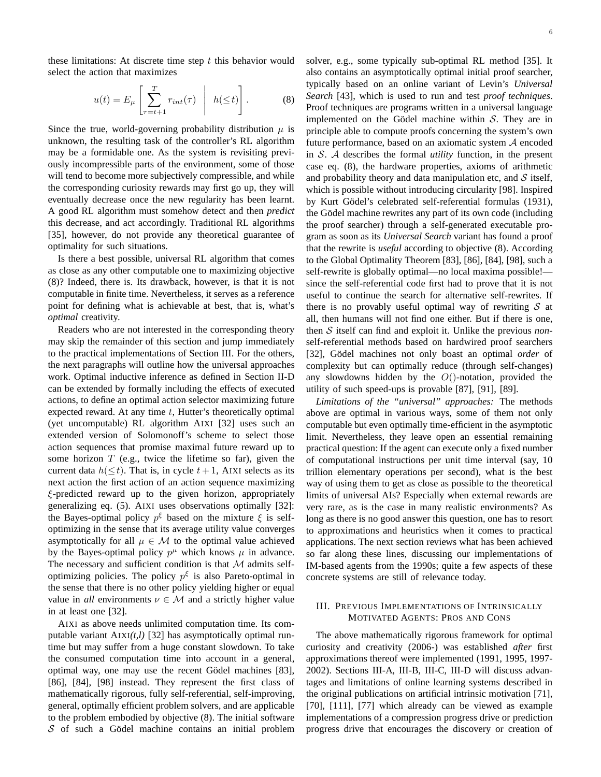these limitations: At discrete time step  $t$  this behavior would select the action that maximizes

$$
u(t) = E_{\mu} \left[ \sum_{\tau=t+1}^{T} r_{int}(\tau) \mid h(\leq t) \right]. \tag{8}
$$

Since the true, world-governing probability distribution  $\mu$  is unknown, the resulting task of the controller's RL algorithm may be a formidable one. As the system is revisiting previously incompressible parts of the environment, some of those will tend to become more subjectively compressible, and while the corresponding curiosity rewards may first go up, they will eventually decrease once the new regularity has been learnt. A good RL algorithm must somehow detect and then *predict* this decrease, and act accordingly. Traditional RL algorithms [35], however, do not provide any theoretical guarantee of optimality for such situations.

Is there a best possible, universal RL algorithm that comes as close as any other computable one to maximizing objective (8)? Indeed, there is. Its drawback, however, is that it is not computable in finite time. Nevertheless, it serves as a reference point for defining what is achievable at best, that is, what's *optimal* creativity.

Readers who are not interested in the corresponding theory may skip the remainder of this section and jump immediately to the practical implementations of Section III. For the others, the next paragraphs will outline how the universal approaches work. Optimal inductive inference as defined in Section II-D can be extended by formally including the effects of executed actions, to define an optimal action selector maximizing future expected reward. At any time  $t$ , Hutter's theoretically optimal (yet uncomputable) RL algorithm AIXI [32] uses such an extended version of Solomonoff's scheme to select those action sequences that promise maximal future reward up to some horizon  $T$  (e.g., twice the lifetime so far), given the current data  $h(\leq t)$ . That is, in cycle  $t + 1$ , AIXI selects as its next action the first action of an action sequence maximizing ξ-predicted reward up to the given horizon, appropriately generalizing eq. (5). AIXI uses observations optimally [32]: the Bayes-optimal policy  $p^{\xi}$  based on the mixture  $\xi$  is selfoptimizing in the sense that its average utility value converges asymptotically for all  $\mu \in \mathcal{M}$  to the optimal value achieved by the Bayes-optimal policy  $p^{\mu}$  which knows  $\mu$  in advance. The necessary and sufficient condition is that  $M$  admits selfoptimizing policies. The policy  $p^{\xi}$  is also Pareto-optimal in the sense that there is no other policy yielding higher or equal value in *all* environments  $\nu \in \mathcal{M}$  and a strictly higher value in at least one [32].

AIXI as above needs unlimited computation time. Its computable variant AIXI*(t,l)* [32] has asymptotically optimal runtime but may suffer from a huge constant slowdown. To take the consumed computation time into account in a general, optimal way, one may use the recent Gödel machines [83], [86], [84], [98] instead. They represent the first class of mathematically rigorous, fully self-referential, self-improving, general, optimally efficient problem solvers, and are applicable to the problem embodied by objective (8). The initial software  $S$  of such a Gödel machine contains an initial problem

solver, e.g., some typically sub-optimal RL method [35]. It also contains an asymptotically optimal initial proof searcher, typically based on an online variant of Levin's *Universal Search* [43], which is used to run and test *proof techniques*. Proof techniques are programs written in a universal language implemented on the Gödel machine within  $S$ . They are in principle able to compute proofs concerning the system's own future performance, based on an axiomatic system A encoded in S. A describes the formal *utility* function, in the present case eq. (8), the hardware properties, axioms of arithmetic and probability theory and data manipulation etc, and  $S$  itself, which is possible without introducing circularity [98]. Inspired by Kurt Gödel's celebrated self-referential formulas (1931), the Gödel machine rewrites any part of its own code (including the proof searcher) through a self-generated executable program as soon as its *Universal Search* variant has found a proof that the rewrite is *useful* according to objective (8). According to the Global Optimality Theorem [83], [86], [84], [98], such a self-rewrite is globally optimal—no local maxima possible! since the self-referential code first had to prove that it is not useful to continue the search for alternative self-rewrites. If there is no provably useful optimal way of rewriting  $S$  at all, then humans will not find one either. But if there is one, then S itself can find and exploit it. Unlike the previous *non*self-referential methods based on hardwired proof searchers [32], Gödel machines not only boast an optimal *order* of complexity but can optimally reduce (through self-changes) any slowdowns hidden by the  $O($ )-notation, provided the utility of such speed-ups is provable [87], [91], [89].

*Limitations of the "universal" approaches:* The methods above are optimal in various ways, some of them not only computable but even optimally time-efficient in the asymptotic limit. Nevertheless, they leave open an essential remaining practical question: If the agent can execute only a fixed number of computational instructions per unit time interval (say, 10 trillion elementary operations per second), what is the best way of using them to get as close as possible to the theoretical limits of universal AIs? Especially when external rewards are very rare, as is the case in many realistic environments? As long as there is no good answer this question, one has to resort to approximations and heuristics when it comes to practical applications. The next section reviews what has been achieved so far along these lines, discussing our implementations of IM-based agents from the 1990s; quite a few aspects of these concrete systems are still of relevance today.

# III. PREVIOUS IMPLEMENTATIONS OF INTRINSICALLY MOTIVATED AGENTS: PROS AND CONS

The above mathematically rigorous framework for optimal curiosity and creativity (2006-) was established *after* first approximations thereof were implemented (1991, 1995, 1997- 2002). Sections III-A, III-B, III-C, III-D will discuss advantages and limitations of online learning systems described in the original publications on artificial intrinsic motivation [71], [70], [111], [77] which already can be viewed as example implementations of a compression progress drive or prediction progress drive that encourages the discovery or creation of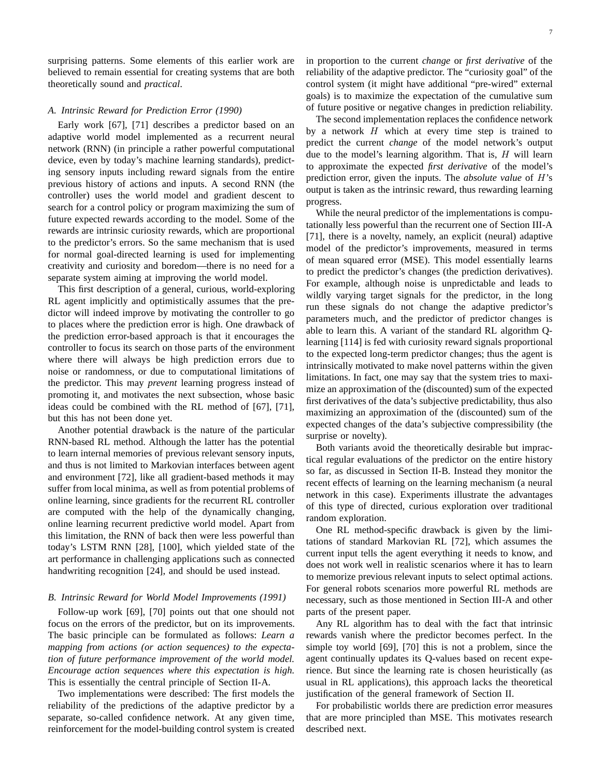surprising patterns. Some elements of this earlier work are believed to remain essential for creating systems that are both theoretically sound and *practical*.

#### *A. Intrinsic Reward for Prediction Error (1990)*

Early work [67], [71] describes a predictor based on an adaptive world model implemented as a recurrent neural network (RNN) (in principle a rather powerful computational device, even by today's machine learning standards), predicting sensory inputs including reward signals from the entire previous history of actions and inputs. A second RNN (the controller) uses the world model and gradient descent to search for a control policy or program maximizing the sum of future expected rewards according to the model. Some of the rewards are intrinsic curiosity rewards, which are proportional to the predictor's errors. So the same mechanism that is used for normal goal-directed learning is used for implementing creativity and curiosity and boredom—there is no need for a separate system aiming at improving the world model.

This first description of a general, curious, world-exploring RL agent implicitly and optimistically assumes that the predictor will indeed improve by motivating the controller to go to places where the prediction error is high. One drawback of the prediction error-based approach is that it encourages the controller to focus its search on those parts of the environment where there will always be high prediction errors due to noise or randomness, or due to computational limitations of the predictor. This may *prevent* learning progress instead of promoting it, and motivates the next subsection, whose basic ideas could be combined with the RL method of [67], [71], but this has not been done yet.

Another potential drawback is the nature of the particular RNN-based RL method. Although the latter has the potential to learn internal memories of previous relevant sensory inputs, and thus is not limited to Markovian interfaces between agent and environment [72], like all gradient-based methods it may suffer from local minima, as well as from potential problems of online learning, since gradients for the recurrent RL controller are computed with the help of the dynamically changing, online learning recurrent predictive world model. Apart from this limitation, the RNN of back then were less powerful than today's LSTM RNN [28], [100], which yielded state of the art performance in challenging applications such as connected handwriting recognition [24], and should be used instead.

#### *B. Intrinsic Reward for World Model Improvements (1991)*

Follow-up work [69], [70] points out that one should not focus on the errors of the predictor, but on its improvements. The basic principle can be formulated as follows: *Learn a mapping from actions (or action sequences) to the expectation of future performance improvement of the world model. Encourage action sequences where this expectation is high.* This is essentially the central principle of Section II-A.

Two implementations were described: The first models the reliability of the predictions of the adaptive predictor by a separate, so-called confidence network. At any given time, reinforcement for the model-building control system is created in proportion to the current *change* or *first derivative* of the reliability of the adaptive predictor. The "curiosity goal" of the

control system (it might have additional "pre-wired" external goals) is to maximize the expectation of the cumulative sum of future positive or negative changes in prediction reliability.

The second implementation replaces the confidence network by a network  $H$  which at every time step is trained to predict the current *change* of the model network's output due to the model's learning algorithm. That is,  $H$  will learn to approximate the expected *first derivative* of the model's prediction error, given the inputs. The *absolute value* of H's output is taken as the intrinsic reward, thus rewarding learning progress.

While the neural predictor of the implementations is computationally less powerful than the recurrent one of Section III-A [71], there is a novelty, namely, an explicit (neural) adaptive model of the predictor's improvements, measured in terms of mean squared error (MSE). This model essentially learns to predict the predictor's changes (the prediction derivatives). For example, although noise is unpredictable and leads to wildly varying target signals for the predictor, in the long run these signals do not change the adaptive predictor's parameters much, and the predictor of predictor changes is able to learn this. A variant of the standard RL algorithm Qlearning [114] is fed with curiosity reward signals proportional to the expected long-term predictor changes; thus the agent is intrinsically motivated to make novel patterns within the given limitations. In fact, one may say that the system tries to maximize an approximation of the (discounted) sum of the expected first derivatives of the data's subjective predictability, thus also maximizing an approximation of the (discounted) sum of the expected changes of the data's subjective compressibility (the surprise or novelty).

Both variants avoid the theoretically desirable but impractical regular evaluations of the predictor on the entire history so far, as discussed in Section II-B. Instead they monitor the recent effects of learning on the learning mechanism (a neural network in this case). Experiments illustrate the advantages of this type of directed, curious exploration over traditional random exploration.

One RL method-specific drawback is given by the limitations of standard Markovian RL [72], which assumes the current input tells the agent everything it needs to know, and does not work well in realistic scenarios where it has to learn to memorize previous relevant inputs to select optimal actions. For general robots scenarios more powerful RL methods are necessary, such as those mentioned in Section III-A and other parts of the present paper.

Any RL algorithm has to deal with the fact that intrinsic rewards vanish where the predictor becomes perfect. In the simple toy world [69], [70] this is not a problem, since the agent continually updates its Q-values based on recent experience. But since the learning rate is chosen heuristically (as usual in RL applications), this approach lacks the theoretical justification of the general framework of Section II.

For probabilistic worlds there are prediction error measures that are more principled than MSE. This motivates research described next.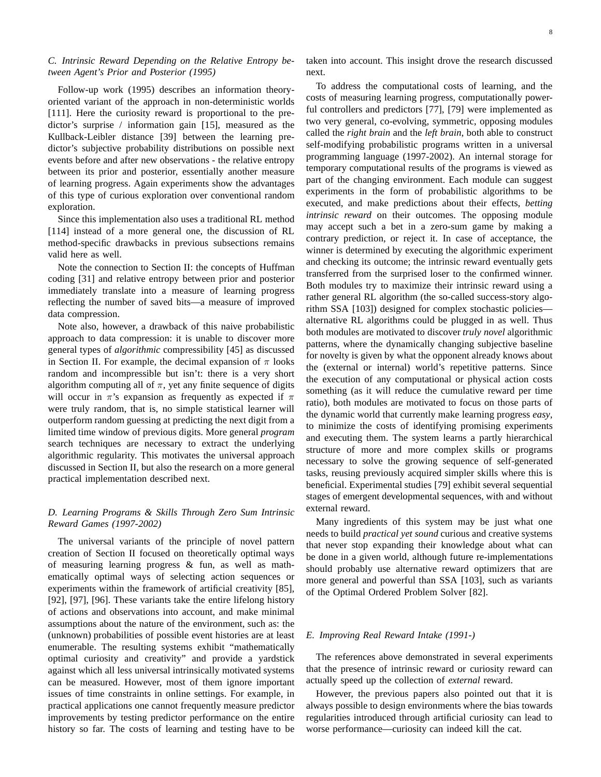# *C. Intrinsic Reward Depending on the Relative Entropy between Agent's Prior and Posterior (1995)*

Follow-up work (1995) describes an information theoryoriented variant of the approach in non-deterministic worlds [111]. Here the curiosity reward is proportional to the predictor's surprise / information gain [15], measured as the Kullback-Leibler distance [39] between the learning predictor's subjective probability distributions on possible next events before and after new observations - the relative entropy between its prior and posterior, essentially another measure of learning progress. Again experiments show the advantages of this type of curious exploration over conventional random exploration.

Since this implementation also uses a traditional RL method [114] instead of a more general one, the discussion of RL method-specific drawbacks in previous subsections remains valid here as well.

Note the connection to Section II: the concepts of Huffman coding [31] and relative entropy between prior and posterior immediately translate into a measure of learning progress reflecting the number of saved bits—a measure of improved data compression.

Note also, however, a drawback of this naive probabilistic approach to data compression: it is unable to discover more general types of *algorithmic* compressibility [45] as discussed in Section II. For example, the decimal expansion of  $\pi$  looks random and incompressible but isn't: there is a very short algorithm computing all of  $\pi$ , yet any finite sequence of digits will occur in  $\pi$ 's expansion as frequently as expected if  $\pi$ were truly random, that is, no simple statistical learner will outperform random guessing at predicting the next digit from a limited time window of previous digits. More general *program* search techniques are necessary to extract the underlying algorithmic regularity. This motivates the universal approach discussed in Section II, but also the research on a more general practical implementation described next.

# *D. Learning Programs & Skills Through Zero Sum Intrinsic Reward Games (1997-2002)*

The universal variants of the principle of novel pattern creation of Section II focused on theoretically optimal ways of measuring learning progress & fun, as well as mathematically optimal ways of selecting action sequences or experiments within the framework of artificial creativity [85], [92], [97], [96]. These variants take the entire lifelong history of actions and observations into account, and make minimal assumptions about the nature of the environment, such as: the (unknown) probabilities of possible event histories are at least enumerable. The resulting systems exhibit "mathematically optimal curiosity and creativity" and provide a yardstick against which all less universal intrinsically motivated systems can be measured. However, most of them ignore important issues of time constraints in online settings. For example, in practical applications one cannot frequently measure predictor improvements by testing predictor performance on the entire history so far. The costs of learning and testing have to be

taken into account. This insight drove the research discussed next.

To address the computational costs of learning, and the costs of measuring learning progress, computationally powerful controllers and predictors [77], [79] were implemented as two very general, co-evolving, symmetric, opposing modules called the *right brain* and the *left brain*, both able to construct self-modifying probabilistic programs written in a universal programming language (1997-2002). An internal storage for temporary computational results of the programs is viewed as part of the changing environment. Each module can suggest experiments in the form of probabilistic algorithms to be executed, and make predictions about their effects, *betting intrinsic reward* on their outcomes. The opposing module may accept such a bet in a zero-sum game by making a contrary prediction, or reject it. In case of acceptance, the winner is determined by executing the algorithmic experiment and checking its outcome; the intrinsic reward eventually gets transferred from the surprised loser to the confirmed winner. Both modules try to maximize their intrinsic reward using a rather general RL algorithm (the so-called success-story algorithm SSA [103]) designed for complex stochastic policies alternative RL algorithms could be plugged in as well. Thus both modules are motivated to discover *truly novel* algorithmic patterns, where the dynamically changing subjective baseline for novelty is given by what the opponent already knows about the (external or internal) world's repetitive patterns. Since the execution of any computational or physical action costs something (as it will reduce the cumulative reward per time ratio), both modules are motivated to focus on those parts of the dynamic world that currently make learning progress *easy*, to minimize the costs of identifying promising experiments and executing them. The system learns a partly hierarchical structure of more and more complex skills or programs necessary to solve the growing sequence of self-generated tasks, reusing previously acquired simpler skills where this is beneficial. Experimental studies [79] exhibit several sequential stages of emergent developmental sequences, with and without external reward.

Many ingredients of this system may be just what one needs to build *practical yet sound* curious and creative systems that never stop expanding their knowledge about what can be done in a given world, although future re-implementations should probably use alternative reward optimizers that are more general and powerful than SSA [103], such as variants of the Optimal Ordered Problem Solver [82].

## *E. Improving Real Reward Intake (1991-)*

The references above demonstrated in several experiments that the presence of intrinsic reward or curiosity reward can actually speed up the collection of *external* reward.

However, the previous papers also pointed out that it is always possible to design environments where the bias towards regularities introduced through artificial curiosity can lead to worse performance—curiosity can indeed kill the cat.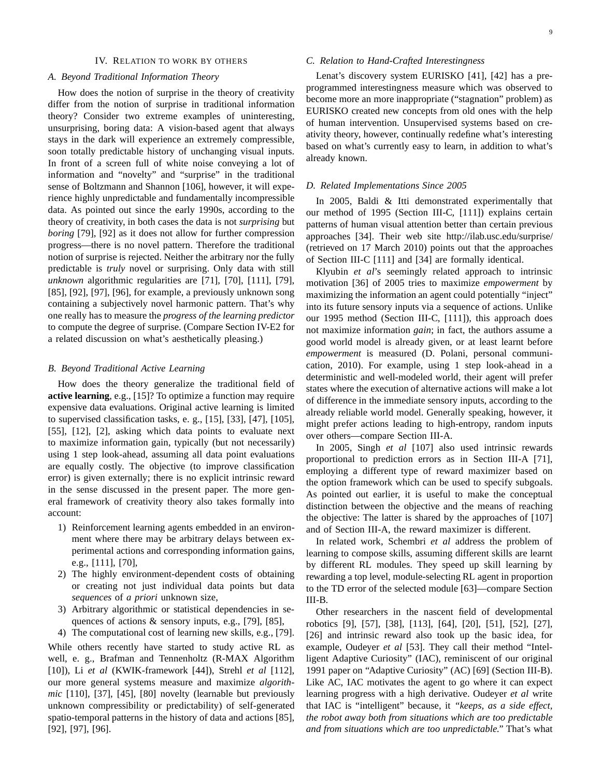#### IV. RELATION TO WORK BY OTHERS

#### *A. Beyond Traditional Information Theory*

How does the notion of surprise in the theory of creativity differ from the notion of surprise in traditional information theory? Consider two extreme examples of uninteresting, unsurprising, boring data: A vision-based agent that always stays in the dark will experience an extremely compressible, soon totally predictable history of unchanging visual inputs. In front of a screen full of white noise conveying a lot of information and "novelty" and "surprise" in the traditional sense of Boltzmann and Shannon [106], however, it will experience highly unpredictable and fundamentally incompressible data. As pointed out since the early 1990s, according to the theory of creativity, in both cases the data is not *surprising* but *boring* [79], [92] as it does not allow for further compression progress—there is no novel pattern. Therefore the traditional notion of surprise is rejected. Neither the arbitrary nor the fully predictable is *truly* novel or surprising. Only data with still *unknown* algorithmic regularities are [71], [70], [111], [79], [85], [92], [97], [96], for example, a previously unknown song containing a subjectively novel harmonic pattern. That's why one really has to measure the *progress of the learning predictor* to compute the degree of surprise. (Compare Section IV-E2 for a related discussion on what's aesthetically pleasing.)

## *B. Beyond Traditional Active Learning*

How does the theory generalize the traditional field of **active learning**, e.g., [15]? To optimize a function may require expensive data evaluations. Original active learning is limited to supervised classification tasks, e. g., [15], [33], [47], [105], [55], [12], [2], asking which data points to evaluate next to maximize information gain, typically (but not necessarily) using 1 step look-ahead, assuming all data point evaluations are equally costly. The objective (to improve classification error) is given externally; there is no explicit intrinsic reward in the sense discussed in the present paper. The more general framework of creativity theory also takes formally into account:

- 1) Reinforcement learning agents embedded in an environment where there may be arbitrary delays between experimental actions and corresponding information gains, e.g., [111], [70],
- 2) The highly environment-dependent costs of obtaining or creating not just individual data points but data *sequences* of *a priori* unknown size,
- 3) Arbitrary algorithmic or statistical dependencies in sequences of actions & sensory inputs, e.g., [79], [85],
- 4) The computational cost of learning new skills, e.g., [79].

While others recently have started to study active RL as well, e. g., Brafman and Tennenholtz (R-MAX Algorithm [10]), Li *et al* (KWIK-framework [44]), Strehl *et al* [112], our more general systems measure and maximize *algorithmic* [110], [37], [45], [80] novelty (learnable but previously unknown compressibility or predictability) of self-generated spatio-temporal patterns in the history of data and actions [85], [92], [97], [96].

## *C. Relation to Hand-Crafted Interestingness*

Lenat's discovery system EURISKO [41], [42] has a preprogrammed interestingness measure which was observed to become more an more inappropriate ("stagnation" problem) as EURISKO created new concepts from old ones with the help of human intervention. Unsupervised systems based on creativity theory, however, continually redefine what's interesting based on what's currently easy to learn, in addition to what's already known.

#### *D. Related Implementations Since 2005*

In 2005, Baldi & Itti demonstrated experimentally that our method of 1995 (Section III-C, [111]) explains certain patterns of human visual attention better than certain previous approaches [34]. Their web site http://ilab.usc.edu/surprise/ (retrieved on 17 March 2010) points out that the approaches of Section III-C [111] and [34] are formally identical.

Klyubin *et al*'s seemingly related approach to intrinsic motivation [36] of 2005 tries to maximize *empowerment* by maximizing the information an agent could potentially "inject" into its future sensory inputs via a sequence of actions. Unlike our 1995 method (Section III-C, [111]), this approach does not maximize information *gain*; in fact, the authors assume a good world model is already given, or at least learnt before *empowerment* is measured (D. Polani, personal communication, 2010). For example, using 1 step look-ahead in a deterministic and well-modeled world, their agent will prefer states where the execution of alternative actions will make a lot of difference in the immediate sensory inputs, according to the already reliable world model. Generally speaking, however, it might prefer actions leading to high-entropy, random inputs over others—compare Section III-A.

In 2005, Singh *et al* [107] also used intrinsic rewards proportional to prediction errors as in Section III-A [71], employing a different type of reward maximizer based on the option framework which can be used to specify subgoals. As pointed out earlier, it is useful to make the conceptual distinction between the objective and the means of reaching the objective: The latter is shared by the approaches of [107] and of Section III-A, the reward maximizer is different.

In related work, Schembri *et al* address the problem of learning to compose skills, assuming different skills are learnt by different RL modules. They speed up skill learning by rewarding a top level, module-selecting RL agent in proportion to the TD error of the selected module [63]—compare Section III-B.

Other researchers in the nascent field of developmental robotics [9], [57], [38], [113], [64], [20], [51], [52], [27], [26] and intrinsic reward also took up the basic idea, for example, Oudeyer *et al* [53]. They call their method "Intelligent Adaptive Curiosity" (IAC), reminiscent of our original 1991 paper on "Adaptive Curiosity" (AC) [69] (Section III-B). Like AC, IAC motivates the agent to go where it can expect learning progress with a high derivative. Oudeyer *et al* write that IAC is "intelligent" because, it *"keeps, as a side effect, the robot away both from situations which are too predictable and from situations which are too unpredictable."* That's what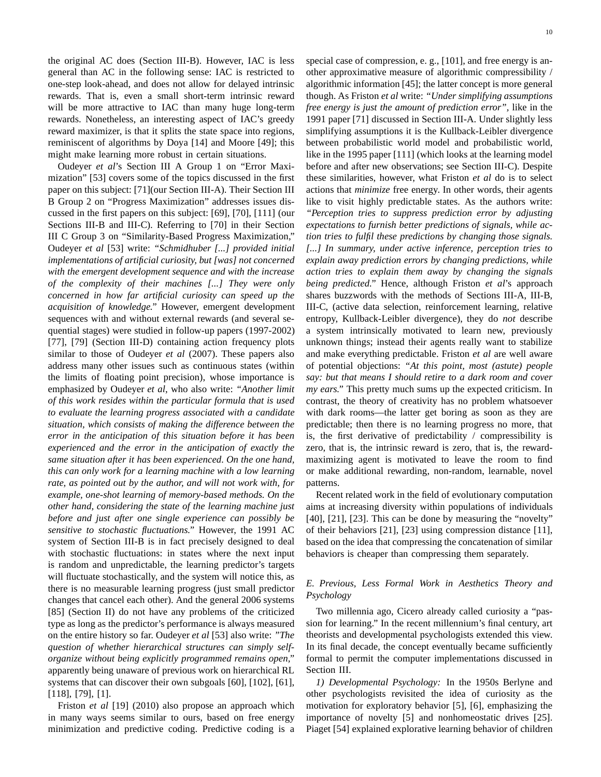the original AC does (Section III-B). However, IAC is less general than AC in the following sense: IAC is restricted to one-step look-ahead, and does not allow for delayed intrinsic rewards. That is, even a small short-term intrinsic reward will be more attractive to IAC than many huge long-term rewards. Nonetheless, an interesting aspect of IAC's greedy reward maximizer, is that it splits the state space into regions, reminiscent of algorithms by Doya [14] and Moore [49]; this might make learning more robust in certain situations.

Oudeyer *et al*'s Section III A Group 1 on "Error Maximization" [53] covers some of the topics discussed in the first paper on this subject: [71](our Section III-A). Their Section III B Group 2 on "Progress Maximization" addresses issues discussed in the first papers on this subject: [69], [70], [111] (our Sections III-B and III-C). Referring to [70] in their Section III C Group 3 on "Similarity-Based Progress Maximization," Oudeyer *et al* [53] write: *"Schmidhuber [...] provided initial implementations of artificial curiosity, but [was] not concerned with the emergent development sequence and with the increase of the complexity of their machines [...] They were only concerned in how far artificial curiosity can speed up the acquisition of knowledge."* However, emergent development sequences with and without external rewards (and several sequential stages) were studied in follow-up papers (1997-2002) [77], [79] (Section III-D) containing action frequency plots similar to those of Oudeyer *et al* (2007). These papers also address many other issues such as continuous states (within the limits of floating point precision), whose importance is emphasized by Oudeyer *et al*, who also write: *"Another limit of this work resides within the particular formula that is used to evaluate the learning progress associated with a candidate situation, which consists of making the difference between the error in the anticipation of this situation before it has been experienced and the error in the anticipation of exactly the same situation after it has been experienced. On the one hand, this can only work for a learning machine with a low learning rate, as pointed out by the author, and will not work with, for example, one-shot learning of memory-based methods. On the other hand, considering the state of the learning machine just before and just after one single experience can possibly be sensitive to stochastic fluctuations."* However, the 1991 AC system of Section III-B is in fact precisely designed to deal with stochastic fluctuations: in states where the next input is random and unpredictable, the learning predictor's targets will fluctuate stochastically, and the system will notice this, as there is no measurable learning progress (just small predictor changes that cancel each other). And the general 2006 systems [85] (Section II) do not have any problems of the criticized type as long as the predictor's performance is always measured on the entire history so far. Oudeyer *et al* [53] also write: *"The question of whether hierarchical structures can simply selforganize without being explicitly programmed remains open,"* apparently being unaware of previous work on hierarchical RL systems that can discover their own subgoals [60], [102], [61], [118], [79], [1].

Friston *et al* [19] (2010) also propose an approach which in many ways seems similar to ours, based on free energy minimization and predictive coding. Predictive coding is a

special case of compression, e. g., [101], and free energy is another approximative measure of algorithmic compressibility / algorithmic information [45]; the latter concept is more general though. As Friston *et al* write: *"Under simplifying assumptions free energy is just the amount of prediction error",* like in the 1991 paper [71] discussed in Section III-A. Under slightly less simplifying assumptions it is the Kullback-Leibler divergence between probabilistic world model and probabilistic world, like in the 1995 paper [111] (which looks at the learning model before and after new observations; see Section III-C). Despite these similarities, however, what Friston *et al* do is to select actions that *minimize* free energy. In other words, their agents like to visit highly predictable states. As the authors write: *"Perception tries to suppress prediction error by adjusting expectations to furnish better predictions of signals, while action tries to fulfil these predictions by changing those signals. [...] In summary, under active inference, perception tries to explain away prediction errors by changing predictions, while action tries to explain them away by changing the signals being predicted."* Hence, although Friston *et al*'s approach shares buzzwords with the methods of Sections III-A, III-B, III-C, (active data selection, reinforcement learning, relative entropy, Kullback-Leibler divergence), they do *not* describe a system intrinsically motivated to learn new, previously unknown things; instead their agents really want to stabilize and make everything predictable. Friston *et al* are well aware of potential objections: *"At this point, most (astute) people say: but that means I should retire to a dark room and cover my ears."* This pretty much sums up the expected criticism. In contrast, the theory of creativity has no problem whatsoever with dark rooms—the latter get boring as soon as they are predictable; then there is no learning progress no more, that is, the first derivative of predictability / compressibility is zero, that is, the intrinsic reward is zero, that is, the rewardmaximizing agent is motivated to leave the room to find or make additional rewarding, non-random, learnable, novel patterns.

Recent related work in the field of evolutionary computation aims at increasing diversity within populations of individuals [40], [21], [23]. This can be done by measuring the "novelty" of their behaviors [21], [23] using compression distance [11], based on the idea that compressing the concatenation of similar behaviors is cheaper than compressing them separately.

# *E. Previous, Less Formal Work in Aesthetics Theory and Psychology*

Two millennia ago, Cicero already called curiosity a "passion for learning." In the recent millennium's final century, art theorists and developmental psychologists extended this view. In its final decade, the concept eventually became sufficiently formal to permit the computer implementations discussed in Section III.

*1) Developmental Psychology:* In the 1950s Berlyne and other psychologists revisited the idea of curiosity as the motivation for exploratory behavior [5], [6], emphasizing the importance of novelty [5] and nonhomeostatic drives [25]. Piaget [54] explained explorative learning behavior of children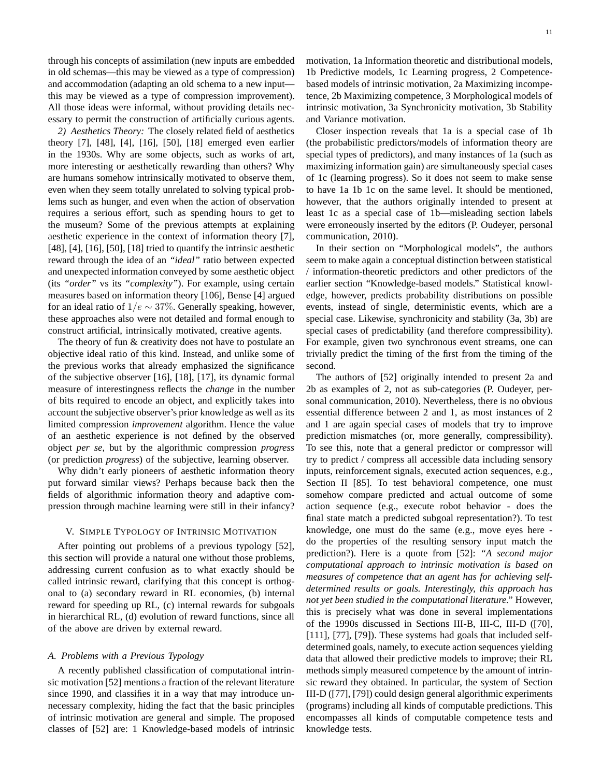through his concepts of assimilation (new inputs are embedded in old schemas—this may be viewed as a type of compression) and accommodation (adapting an old schema to a new input this may be viewed as a type of compression improvement). All those ideas were informal, without providing details necessary to permit the construction of artificially curious agents.

*2) Aesthetics Theory:* The closely related field of aesthetics theory [7], [48], [4], [16], [50], [18] emerged even earlier in the 1930s. Why are some objects, such as works of art, more interesting or aesthetically rewarding than others? Why are humans somehow intrinsically motivated to observe them, even when they seem totally unrelated to solving typical problems such as hunger, and even when the action of observation requires a serious effort, such as spending hours to get to the museum? Some of the previous attempts at explaining aesthetic experience in the context of information theory [7], [48], [4], [16], [50], [18] tried to quantify the intrinsic aesthetic reward through the idea of an *"ideal"* ratio between expected and unexpected information conveyed by some aesthetic object (its *"order"* vs its *"complexity"*). For example, using certain measures based on information theory [106], Bense [4] argued for an ideal ratio of  $1/e \sim 37\%$ . Generally speaking, however, these approaches also were not detailed and formal enough to construct artificial, intrinsically motivated, creative agents.

The theory of fun & creativity does not have to postulate an objective ideal ratio of this kind. Instead, and unlike some of the previous works that already emphasized the significance of the subjective observer [16], [18], [17], its dynamic formal measure of interestingness reflects the *change* in the number of bits required to encode an object, and explicitly takes into account the subjective observer's prior knowledge as well as its limited compression *improvement* algorithm. Hence the value of an aesthetic experience is not defined by the observed object *per se*, but by the algorithmic compression *progress* (or prediction *progress*) of the subjective, learning observer.

Why didn't early pioneers of aesthetic information theory put forward similar views? Perhaps because back then the fields of algorithmic information theory and adaptive compression through machine learning were still in their infancy?

## V. SIMPLE TYPOLOGY OF INTRINSIC MOTIVATION

After pointing out problems of a previous typology [52], this section will provide a natural one without those problems, addressing current confusion as to what exactly should be called intrinsic reward, clarifying that this concept is orthogonal to (a) secondary reward in RL economies, (b) internal reward for speeding up RL, (c) internal rewards for subgoals in hierarchical RL, (d) evolution of reward functions, since all of the above are driven by external reward.

#### *A. Problems with a Previous Typology*

A recently published classification of computational intrinsic motivation [52] mentions a fraction of the relevant literature since 1990, and classifies it in a way that may introduce unnecessary complexity, hiding the fact that the basic principles of intrinsic motivation are general and simple. The proposed classes of [52] are: 1 Knowledge-based models of intrinsic motivation, 1a Information theoretic and distributional models, 1b Predictive models, 1c Learning progress, 2 Competencebased models of intrinsic motivation, 2a Maximizing incompetence, 2b Maximizing competence, 3 Morphological models of intrinsic motivation, 3a Synchronicity motivation, 3b Stability and Variance motivation.

Closer inspection reveals that 1a is a special case of 1b (the probabilistic predictors/models of information theory are special types of predictors), and many instances of 1a (such as maximizing information gain) are simultaneously special cases of 1c (learning progress). So it does not seem to make sense to have 1a 1b 1c on the same level. It should be mentioned, however, that the authors originally intended to present at least 1c as a special case of 1b—misleading section labels were erroneously inserted by the editors (P. Oudeyer, personal communication, 2010).

In their section on "Morphological models", the authors seem to make again a conceptual distinction between statistical / information-theoretic predictors and other predictors of the earlier section "Knowledge-based models." Statistical knowledge, however, predicts probability distributions on possible events, instead of single, deterministic events, which are a special case. Likewise, synchronicity and stability (3a, 3b) are special cases of predictability (and therefore compressibility). For example, given two synchronous event streams, one can trivially predict the timing of the first from the timing of the second.

The authors of [52] originally intended to present 2a and 2b as examples of 2, not as sub-categories (P. Oudeyer, personal communication, 2010). Nevertheless, there is no obvious essential difference between 2 and 1, as most instances of 2 and 1 are again special cases of models that try to improve prediction mismatches (or, more generally, compressibility). To see this, note that a general predictor or compressor will try to predict / compress all accessible data including sensory inputs, reinforcement signals, executed action sequences, e.g., Section II [85]. To test behavioral competence, one must somehow compare predicted and actual outcome of some action sequence (e.g., execute robot behavior - does the final state match a predicted subgoal representation?). To test knowledge, one must do the same (e.g., move eyes here do the properties of the resulting sensory input match the prediction?). Here is a quote from [52]: *"A second major computational approach to intrinsic motivation is based on measures of competence that an agent has for achieving selfdetermined results or goals. Interestingly, this approach has not yet been studied in the computational literature."* However, this is precisely what was done in several implementations of the 1990s discussed in Sections III-B, III-C, III-D ([70], [111], [77], [79]). These systems had goals that included selfdetermined goals, namely, to execute action sequences yielding data that allowed their predictive models to improve; their RL methods simply measured competence by the amount of intrinsic reward they obtained. In particular, the system of Section III-D ([77], [79]) could design general algorithmic experiments (programs) including all kinds of computable predictions. This encompasses all kinds of computable competence tests and knowledge tests.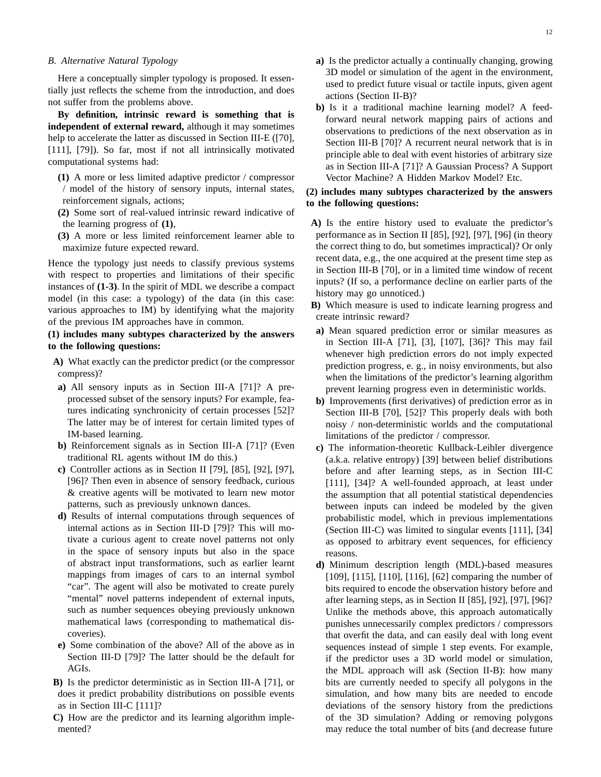#### *B. Alternative Natural Typology*

Here a conceptually simpler typology is proposed. It essentially just reflects the scheme from the introduction, and does not suffer from the problems above.

**By definition, intrinsic reward is something that is independent of external reward,** although it may sometimes help to accelerate the latter as discussed in Section III-E ([70], [111], [79]). So far, most if not all intrinsically motivated computational systems had:

- **(1)** A more or less limited adaptive predictor / compressor / model of the history of sensory inputs, internal states, reinforcement signals, actions;
- **(2)** Some sort of real-valued intrinsic reward indicative of the learning progress of **(1)**,
- **(3)** A more or less limited reinforcement learner able to maximize future expected reward.

Hence the typology just needs to classify previous systems with respect to properties and limitations of their specific instances of **(1-3)**. In the spirit of MDL we describe a compact model (in this case: a typology) of the data (in this case: various approaches to IM) by identifying what the majority of the previous IM approaches have in common.

# **(1) includes many subtypes characterized by the answers to the following questions:**

- **A)** What exactly can the predictor predict (or the compressor compress)?
- **a)** All sensory inputs as in Section III-A [71]? A preprocessed subset of the sensory inputs? For example, features indicating synchronicity of certain processes [52]? The latter may be of interest for certain limited types of IM-based learning.
- **b)** Reinforcement signals as in Section III-A [71]? (Even traditional RL agents without IM do this.)
- **c)** Controller actions as in Section II [79], [85], [92], [97], [96]? Then even in absence of sensory feedback, curious & creative agents will be motivated to learn new motor patterns, such as previously unknown dances.
- **d)** Results of internal computations through sequences of internal actions as in Section III-D [79]? This will motivate a curious agent to create novel patterns not only in the space of sensory inputs but also in the space of abstract input transformations, such as earlier learnt mappings from images of cars to an internal symbol "car". The agent will also be motivated to create purely "mental" novel patterns independent of external inputs, such as number sequences obeying previously unknown mathematical laws (corresponding to mathematical discoveries).
- **e)** Some combination of the above? All of the above as in Section III-D [79]? The latter should be the default for AGIs.
- **B)** Is the predictor deterministic as in Section III-A [71], or does it predict probability distributions on possible events as in Section III-C [111]?
- **C)** How are the predictor and its learning algorithm implemented?
- **a)** Is the predictor actually a continually changing, growing 3D model or simulation of the agent in the environment, used to predict future visual or tactile inputs, given agent actions (Section II-B)?
- **b)** Is it a traditional machine learning model? A feedforward neural network mapping pairs of actions and observations to predictions of the next observation as in Section III-B [70]? A recurrent neural network that is in principle able to deal with event histories of arbitrary size as in Section III-A [71]? A Gaussian Process? A Support Vector Machine? A Hidden Markov Model? Etc.

# **(2) includes many subtypes characterized by the answers to the following questions:**

- **A)** Is the entire history used to evaluate the predictor's performance as in Section II [85], [92], [97], [96] (in theory the correct thing to do, but sometimes impractical)? Or only recent data, e.g., the one acquired at the present time step as in Section III-B [70], or in a limited time window of recent inputs? (If so, a performance decline on earlier parts of the history may go unnoticed.)
- **B)** Which measure is used to indicate learning progress and create intrinsic reward?
- **a)** Mean squared prediction error or similar measures as in Section III-A [71], [3], [107], [36]? This may fail whenever high prediction errors do not imply expected prediction progress, e. g., in noisy environments, but also when the limitations of the predictor's learning algorithm prevent learning progress even in deterministic worlds.
- **b)** Improvements (first derivatives) of prediction error as in Section III-B [70], [52]? This properly deals with both noisy / non-deterministic worlds and the computational limitations of the predictor / compressor.
- **c)** The information-theoretic Kullback-Leibler divergence (a.k.a. relative entropy) [39] between belief distributions before and after learning steps, as in Section III-C [111], [34]? A well-founded approach, at least under the assumption that all potential statistical dependencies between inputs can indeed be modeled by the given probabilistic model, which in previous implementations (Section III-C) was limited to singular events [111], [34] as opposed to arbitrary event sequences, for efficiency reasons.
- **d)** Minimum description length (MDL)-based measures [109], [115], [110], [116], [62] comparing the number of bits required to encode the observation history before and after learning steps, as in Section II [85], [92], [97], [96]? Unlike the methods above, this approach automatically punishes unnecessarily complex predictors / compressors that overfit the data, and can easily deal with long event sequences instead of simple 1 step events. For example, if the predictor uses a 3D world model or simulation, the MDL approach will ask (Section II-B): how many bits are currently needed to specify all polygons in the simulation, and how many bits are needed to encode deviations of the sensory history from the predictions of the 3D simulation? Adding or removing polygons may reduce the total number of bits (and decrease future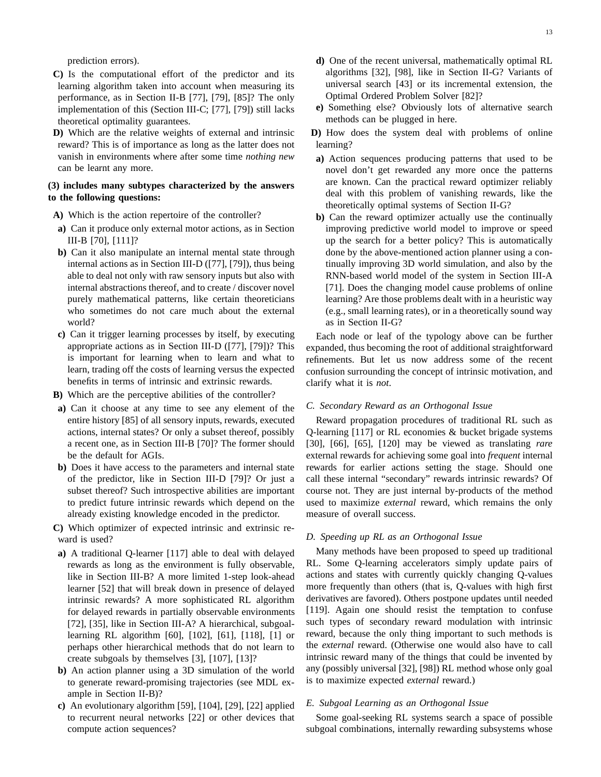prediction errors).

- **C)** Is the computational effort of the predictor and its learning algorithm taken into account when measuring its performance, as in Section II-B [77], [79], [85]? The only implementation of this (Section III-C; [77], [79]) still lacks theoretical optimality guarantees.
- **D)** Which are the relative weights of external and intrinsic reward? This is of importance as long as the latter does not vanish in environments where after some time *nothing new* can be learnt any more.

# **(3) includes many subtypes characterized by the answers to the following questions:**

- **A)** Which is the action repertoire of the controller?
- **a)** Can it produce only external motor actions, as in Section III-B [70], [111]?
- **b)** Can it also manipulate an internal mental state through internal actions as in Section III-D ([77], [79]), thus being able to deal not only with raw sensory inputs but also with internal abstractions thereof, and to create / discover novel purely mathematical patterns, like certain theoreticians who sometimes do not care much about the external world?
- **c)** Can it trigger learning processes by itself, by executing appropriate actions as in Section III-D ([77], [79])? This is important for learning when to learn and what to learn, trading off the costs of learning versus the expected benefits in terms of intrinsic and extrinsic rewards.
- **B)** Which are the perceptive abilities of the controller?
- **a)** Can it choose at any time to see any element of the entire history [85] of all sensory inputs, rewards, executed actions, internal states? Or only a subset thereof, possibly a recent one, as in Section III-B [70]? The former should be the default for AGIs.
- **b)** Does it have access to the parameters and internal state of the predictor, like in Section III-D [79]? Or just a subset thereof? Such introspective abilities are important to predict future intrinsic rewards which depend on the already existing knowledge encoded in the predictor.
- **C)** Which optimizer of expected intrinsic and extrinsic reward is used?
- **a)** A traditional Q-learner [117] able to deal with delayed rewards as long as the environment is fully observable, like in Section III-B? A more limited 1-step look-ahead learner [52] that will break down in presence of delayed intrinsic rewards? A more sophisticated RL algorithm for delayed rewards in partially observable environments [72], [35], like in Section III-A? A hierarchical, subgoallearning RL algorithm [60], [102], [61], [118], [1] or perhaps other hierarchical methods that do not learn to create subgoals by themselves [3], [107], [13]?
- **b)** An action planner using a 3D simulation of the world to generate reward-promising trajectories (see MDL example in Section II-B)?
- **c)** An evolutionary algorithm [59], [104], [29], [22] applied to recurrent neural networks [22] or other devices that compute action sequences?
- **d)** One of the recent universal, mathematically optimal RL algorithms [32], [98], like in Section II-G? Variants of universal search [43] or its incremental extension, the Optimal Ordered Problem Solver [82]?
- **e)** Something else? Obviously lots of alternative search methods can be plugged in here.
- **D)** How does the system deal with problems of online learning?
- **a)** Action sequences producing patterns that used to be novel don't get rewarded any more once the patterns are known. Can the practical reward optimizer reliably deal with this problem of vanishing rewards, like the theoretically optimal systems of Section II-G?
- **b)** Can the reward optimizer actually use the continually improving predictive world model to improve or speed up the search for a better policy? This is automatically done by the above-mentioned action planner using a continually improving 3D world simulation, and also by the RNN-based world model of the system in Section III-A [71]. Does the changing model cause problems of online learning? Are those problems dealt with in a heuristic way (e.g., small learning rates), or in a theoretically sound way as in Section II-G?

Each node or leaf of the typology above can be further expanded, thus becoming the root of additional straightforward refinements. But let us now address some of the recent confusion surrounding the concept of intrinsic motivation, and clarify what it is *not*.

## *C. Secondary Reward as an Orthogonal Issue*

Reward propagation procedures of traditional RL such as Q-learning [117] or RL economies & bucket brigade systems [30], [66], [65], [120] may be viewed as translating *rare* external rewards for achieving some goal into *frequent* internal rewards for earlier actions setting the stage. Should one call these internal "secondary" rewards intrinsic rewards? Of course not. They are just internal by-products of the method used to maximize *external* reward, which remains the only measure of overall success.

## *D. Speeding up RL as an Orthogonal Issue*

Many methods have been proposed to speed up traditional RL. Some Q-learning accelerators simply update pairs of actions and states with currently quickly changing Q-values more frequently than others (that is, Q-values with high first derivatives are favored). Others postpone updates until needed [119]. Again one should resist the temptation to confuse such types of secondary reward modulation with intrinsic reward, because the only thing important to such methods is the *external* reward. (Otherwise one would also have to call intrinsic reward many of the things that could be invented by any (possibly universal [32], [98]) RL method whose only goal is to maximize expected *external* reward.)

# *E. Subgoal Learning as an Orthogonal Issue*

Some goal-seeking RL systems search a space of possible subgoal combinations, internally rewarding subsystems whose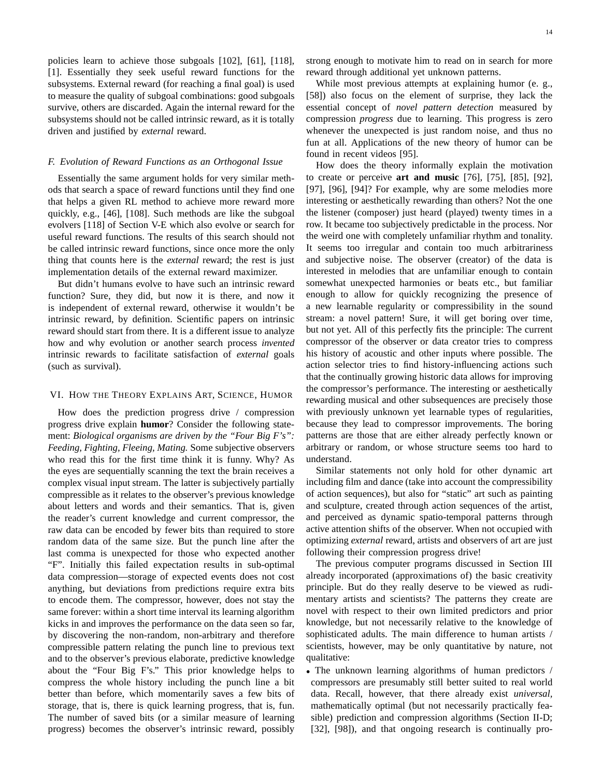policies learn to achieve those subgoals [102], [61], [118], [1]. Essentially they seek useful reward functions for the subsystems. External reward (for reaching a final goal) is used to measure the quality of subgoal combinations: good subgoals survive, others are discarded. Again the internal reward for the subsystems should not be called intrinsic reward, as it is totally driven and justified by *external* reward.

#### *F. Evolution of Reward Functions as an Orthogonal Issue*

Essentially the same argument holds for very similar methods that search a space of reward functions until they find one that helps a given RL method to achieve more reward more quickly, e.g., [46], [108]. Such methods are like the subgoal evolvers [118] of Section V-E which also evolve or search for useful reward functions. The results of this search should not be called intrinsic reward functions, since once more the only thing that counts here is the *external* reward; the rest is just implementation details of the external reward maximizer.

But didn't humans evolve to have such an intrinsic reward function? Sure, they did, but now it is there, and now it is independent of external reward, otherwise it wouldn't be intrinsic reward, by definition. Scientific papers on intrinsic reward should start from there. It is a different issue to analyze how and why evolution or another search process *invented* intrinsic rewards to facilitate satisfaction of *external* goals (such as survival).

## VI. HOW THE THEORY EXPLAINS ART, SCIENCE, HUMOR

How does the prediction progress drive / compression progress drive explain **humor**? Consider the following statement: *Biological organisms are driven by the "Four Big F's": Feeding, Fighting, Fleeing, Mating.* Some subjective observers who read this for the first time think it is funny. Why? As the eyes are sequentially scanning the text the brain receives a complex visual input stream. The latter is subjectively partially compressible as it relates to the observer's previous knowledge about letters and words and their semantics. That is, given the reader's current knowledge and current compressor, the raw data can be encoded by fewer bits than required to store random data of the same size. But the punch line after the last comma is unexpected for those who expected another "F". Initially this failed expectation results in sub-optimal data compression—storage of expected events does not cost anything, but deviations from predictions require extra bits to encode them. The compressor, however, does not stay the same forever: within a short time interval its learning algorithm kicks in and improves the performance on the data seen so far, by discovering the non-random, non-arbitrary and therefore compressible pattern relating the punch line to previous text and to the observer's previous elaborate, predictive knowledge about the "Four Big F's." This prior knowledge helps to compress the whole history including the punch line a bit better than before, which momentarily saves a few bits of storage, that is, there is quick learning progress, that is, fun. The number of saved bits (or a similar measure of learning progress) becomes the observer's intrinsic reward, possibly

strong enough to motivate him to read on in search for more reward through additional yet unknown patterns.

While most previous attempts at explaining humor (e. g., [58]) also focus on the element of surprise, they lack the essential concept of *novel pattern detection* measured by compression *progress* due to learning. This progress is zero whenever the unexpected is just random noise, and thus no fun at all. Applications of the new theory of humor can be found in recent videos [95].

How does the theory informally explain the motivation to create or perceive **art and music** [76], [75], [85], [92], [97], [96], [94]? For example, why are some melodies more interesting or aesthetically rewarding than others? Not the one the listener (composer) just heard (played) twenty times in a row. It became too subjectively predictable in the process. Nor the weird one with completely unfamiliar rhythm and tonality. It seems too irregular and contain too much arbitrariness and subjective noise. The observer (creator) of the data is interested in melodies that are unfamiliar enough to contain somewhat unexpected harmonies or beats etc., but familiar enough to allow for quickly recognizing the presence of a new learnable regularity or compressibility in the sound stream: a novel pattern! Sure, it will get boring over time, but not yet. All of this perfectly fits the principle: The current compressor of the observer or data creator tries to compress his history of acoustic and other inputs where possible. The action selector tries to find history-influencing actions such that the continually growing historic data allows for improving the compressor's performance. The interesting or aesthetically rewarding musical and other subsequences are precisely those with previously unknown yet learnable types of regularities, because they lead to compressor improvements. The boring patterns are those that are either already perfectly known or arbitrary or random, or whose structure seems too hard to understand.

Similar statements not only hold for other dynamic art including film and dance (take into account the compressibility of action sequences), but also for "static" art such as painting and sculpture, created through action sequences of the artist, and perceived as dynamic spatio-temporal patterns through active attention shifts of the observer. When not occupied with optimizing *external* reward, artists and observers of art are just following their compression progress drive!

The previous computer programs discussed in Section III already incorporated (approximations of) the basic creativity principle. But do they really deserve to be viewed as rudimentary artists and scientists? The patterns they create are novel with respect to their own limited predictors and prior knowledge, but not necessarily relative to the knowledge of sophisticated adults. The main difference to human artists / scientists, however, may be only quantitative by nature, not qualitative:

• The unknown learning algorithms of human predictors / compressors are presumably still better suited to real world data. Recall, however, that there already exist *universal,* mathematically optimal (but not necessarily practically feasible) prediction and compression algorithms (Section II-D; [32], [98]), and that ongoing research is continually pro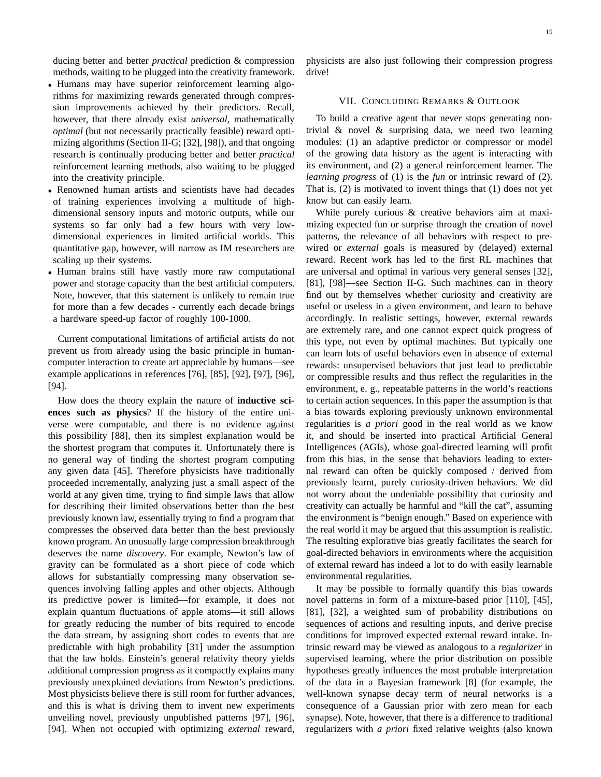ducing better and better *practical* prediction & compression methods, waiting to be plugged into the creativity framework.

- Humans may have superior reinforcement learning algorithms for maximizing rewards generated through compression improvements achieved by their predictors. Recall, however, that there already exist *universal,* mathematically *optimal* (but not necessarily practically feasible) reward optimizing algorithms (Section II-G; [32], [98]), and that ongoing research is continually producing better and better *practical* reinforcement learning methods, also waiting to be plugged into the creativity principle.
- Renowned human artists and scientists have had decades of training experiences involving a multitude of highdimensional sensory inputs and motoric outputs, while our systems so far only had a few hours with very lowdimensional experiences in limited artificial worlds. This quantitative gap, however, will narrow as IM researchers are scaling up their systems.
- Human brains still have vastly more raw computational power and storage capacity than the best artificial computers. Note, however, that this statement is unlikely to remain true for more than a few decades - currently each decade brings a hardware speed-up factor of roughly 100-1000.

Current computational limitations of artificial artists do not prevent us from already using the basic principle in humancomputer interaction to create art appreciable by humans—see example applications in references [76], [85], [92], [97], [96], [94].

How does the theory explain the nature of **inductive sciences such as physics**? If the history of the entire universe were computable, and there is no evidence against this possibility [88], then its simplest explanation would be the shortest program that computes it. Unfortunately there is no general way of finding the shortest program computing any given data [45]. Therefore physicists have traditionally proceeded incrementally, analyzing just a small aspect of the world at any given time, trying to find simple laws that allow for describing their limited observations better than the best previously known law, essentially trying to find a program that compresses the observed data better than the best previously known program. An unusually large compression breakthrough deserves the name *discovery*. For example, Newton's law of gravity can be formulated as a short piece of code which allows for substantially compressing many observation sequences involving falling apples and other objects. Although its predictive power is limited—for example, it does not explain quantum fluctuations of apple atoms—it still allows for greatly reducing the number of bits required to encode the data stream, by assigning short codes to events that are predictable with high probability [31] under the assumption that the law holds. Einstein's general relativity theory yields additional compression progress as it compactly explains many previously unexplained deviations from Newton's predictions. Most physicists believe there is still room for further advances, and this is what is driving them to invent new experiments unveiling novel, previously unpublished patterns [97], [96], [94]. When not occupied with optimizing *external* reward, physicists are also just following their compression progress drive!

## VII. CONCLUDING REMARKS & OUTLOOK

To build a creative agent that never stops generating nontrivial & novel & surprising data, we need two learning modules: (1) an adaptive predictor or compressor or model of the growing data history as the agent is interacting with its environment, and (2) a general reinforcement learner. The *learning progress* of (1) is the *fun* or intrinsic reward of (2). That is, (2) is motivated to invent things that (1) does not yet know but can easily learn.

While purely curious & creative behaviors aim at maximizing expected fun or surprise through the creation of novel patterns, the relevance of all behaviors with respect to prewired or *external* goals is measured by (delayed) external reward. Recent work has led to the first RL machines that are universal and optimal in various very general senses [32], [81], [98]—see Section II-G. Such machines can in theory find out by themselves whether curiosity and creativity are useful or useless in a given environment, and learn to behave accordingly. In realistic settings, however, external rewards are extremely rare, and one cannot expect quick progress of this type, not even by optimal machines. But typically one can learn lots of useful behaviors even in absence of external rewards: unsupervised behaviors that just lead to predictable or compressible results and thus reflect the regularities in the environment, e. g., repeatable patterns in the world's reactions to certain action sequences. In this paper the assumption is that a bias towards exploring previously unknown environmental regularities is *a priori* good in the real world as we know it, and should be inserted into practical Artificial General Intelligences (AGIs), whose goal-directed learning will profit from this bias, in the sense that behaviors leading to external reward can often be quickly composed / derived from previously learnt, purely curiosity-driven behaviors. We did not worry about the undeniable possibility that curiosity and creativity can actually be harmful and "kill the cat", assuming the environment is "benign enough." Based on experience with the real world it may be argued that this assumption is realistic. The resulting explorative bias greatly facilitates the search for goal-directed behaviors in environments where the acquisition of external reward has indeed a lot to do with easily learnable environmental regularities.

It may be possible to formally quantify this bias towards novel patterns in form of a mixture-based prior [110], [45], [81], [32], a weighted sum of probability distributions on sequences of actions and resulting inputs, and derive precise conditions for improved expected external reward intake. Intrinsic reward may be viewed as analogous to a *regularizer* in supervised learning, where the prior distribution on possible hypotheses greatly influences the most probable interpretation of the data in a Bayesian framework [8] (for example, the well-known synapse decay term of neural networks is a consequence of a Gaussian prior with zero mean for each synapse). Note, however, that there is a difference to traditional regularizers with *a priori* fixed relative weights (also known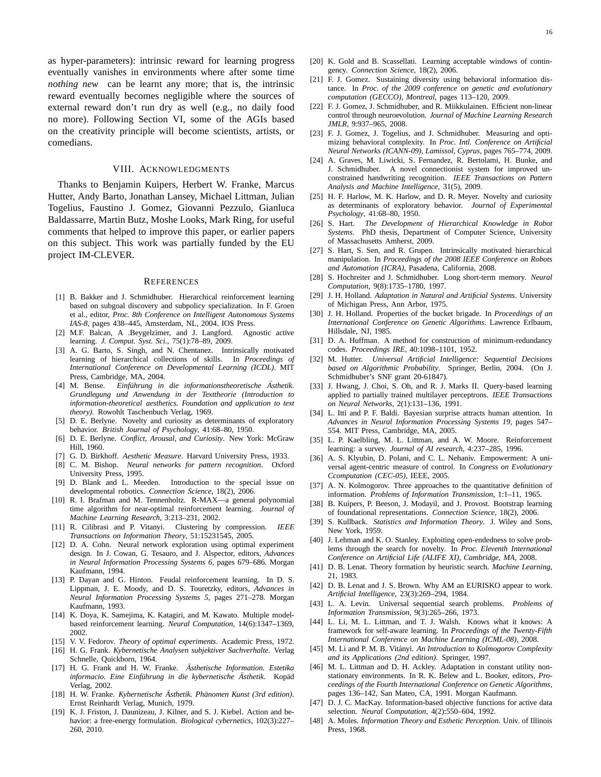as hyper-parameters): intrinsic reward for learning progress eventually vanishes in environments where after some time *nothing new* can be learnt any more; that is, the intrinsic reward eventually becomes negligible where the sources of external reward don't run dry as well (e.g., no daily food no more). Following Section VI, some of the AGIs based on the creativity principle will become scientists, artists, or comedians.

#### VIII. ACKNOWLEDGMENTS

Thanks to Benjamin Kuipers, Herbert W. Franke, Marcus Hutter, Andy Barto, Jonathan Lansey, Michael Littman, Julian Togelius, Faustino J. Gomez, Giovanni Pezzulo, Gianluca Baldassarre, Martin Butz, Moshe Looks, Mark Ring, for useful comments that helped to improve this paper, or earlier papers on this subject. This work was partially funded by the EU project IM-CLEVER.

#### **REFERENCES**

- [1] B. Bakker and J. Schmidhuber. Hierarchical reinforcement learning based on subgoal discovery and subpolicy specialization. In F. Groen et al., editor, *Proc. 8th Conference on Intelligent Autonomous Systems IAS-8*, pages 438–445, Amsterdam, NL, 2004. IOS Press.
- [2] M.F. Balcan, A .Beygelzimer, and J. Langford. Agnostic active learning. *J. Comput. Syst. Sci.*, 75(1):78–89, 2009.
- [3] A. G. Barto, S. Singh, and N. Chentanez. Intrinsically motivated learning of hierarchical collections of skills. In *Proceedings of International Conference on Developmental Learning (ICDL)*. MIT Press, Cambridge, MA, 2004.
- [4] M. Bense. Einführung in die informationstheoretische Ästhetik. *Grundlegung und Anwendung in der Texttheorie (Introduction to information-theoretical aesthetics. Foundation and application to text theory)*. Rowohlt Taschenbuch Verlag, 1969.
- [5] D. E. Berlyne. Novelty and curiosity as determinants of exploratory behavior. *British Journal of Psychology*, 41:68–80, 1950.
- [6] D. E. Berlyne. *Conflict, Arousal, and Curiosity*. New York: McGraw Hill, 1960.
- [7] G. D. Birkhoff. *Aesthetic Measure*. Harvard University Press, 1933.
- [8] C. M. Bishop. *Neural networks for pattern recognition*. Oxford University Press, 1995.
- [9] D. Blank and L. Meeden. Introduction to the special issue on developmental robotics. *Connection Science*, 18(2), 2006.
- [10] R. I. Brafman and M. Tennenholtz. R-MAX—a general polynomial time algorithm for near-optimal reinforcement learning. *Journal of Machine Learning Research*, 3:213–231, 2002.
- [11] R. Cilibrasi and P. Vitanyi. Clustering by compression. *IEEE Transactions on Information Theory*, 51:15231545, 2005.
- [12] D. A. Cohn. Neural network exploration using optimal experiment design. In J. Cowan, G. Tesauro, and J. Alspector, editors, *Advances in Neural Information Processing Systems 6*, pages 679–686. Morgan Kaufmann, 1994.
- [13] P. Dayan and G. Hinton. Feudal reinforcement learning. In D. S. Lippman, J. E. Moody, and D. S. Touretzky, editors, *Advances in Neural Information Processing Systems 5*, pages 271–278. Morgan Kaufmann, 1993.
- [14] K. Doya, K. Samejima, K. Katagiri, and M. Kawato. Multiple modelbased reinforcement learning. *Neural Computation*, 14(6):1347–1369, 2002.
- [15] V. V. Fedorov. *Theory of optimal experiments*. Academic Press, 1972.
- [16] H. G. Frank. *Kybernetische Analysen subjektiver Sachverhalte*. Verlag Schnelle, Quickborn, 1964.
- [17] H. G. Frank and H. W. Franke. *Asthetische Information. Estetika ¨ informacio. Eine Einführung in die kybernetische Ästhetik. Kopäd* Verlag, 2002.
- [18] H. W. Franke. *Kybernetische Ästhetik. Phänomen Kunst (3rd edition)*. Ernst Reinhardt Verlag, Munich, 1979.
- [19] K. J. Friston, J. Daunizeau, J. Kilner, and S. J. Kiebel. Action and behavior: a free-energy formulation. *Biological cybernetics*, 102(3):227– 260, 2010.
- [20] K. Gold and B. Scassellati. Learning acceptable windows of contingency. *Connection Science*, 18(2), 2006.
- [21] F. J. Gomez. Sustaining diversity using behavioral information distance. In *Proc. of the 2009 conference on genetic and evolutionary computation (GECCO), Montreal*, pages 113–120, 2009.
- [22] F. J. Gomez, J. Schmidhuber, and R. Miikkulainen. Efficient non-linear control through neuroevolution. *Journal of Machine Learning Research JMLR*, 9:937–965, 2008.
- [23] F. J. Gomez, J. Togelius, and J. Schmidhuber. Measuring and optimizing behavioral complexity. In *Proc. Intl. Conference on Artificial Neural Networks (ICANN-09), Lamissol, Cyprus*, pages 765–774, 2009.
- [24] A. Graves, M. Liwicki, S. Fernandez, R. Bertolami, H. Bunke, and J. Schmidhuber. A novel connectionist system for improved unconstrained handwriting recognition. *IEEE Transactions on Pattern Analysis and Machine Intelligence*, 31(5), 2009.
- [25] H. F. Harlow, M. K. Harlow, and D. R. Meyer. Novelty and curiosity as determinants of exploratory behavior. *Journal of Experimental Psychology*, 41:68–80, 1950.
- [26] S. Hart. *The Development of Hierarchical Knowledge in Robot Systems*. PhD thesis, Department of Computer Science, University of Massachusetts Amherst, 2009.
- [27] S. Hart, S. Sen, and R. Grupen. Intrinsically motivated hierarchical manipulation. In *Proceedings of the 2008 IEEE Conference on Robots and Automation (ICRA)*, Pasadena, California, 2008.
- [28] S. Hochreiter and J. Schmidhuber. Long short-term memory. *Neural Computation*, 9(8):1735–1780, 1997.
- [29] J. H. Holland. *Adaptation in Natural and Artificial Systems*. University of Michigan Press, Ann Arbor, 1975.
- [30] J. H. Holland. Properties of the bucket brigade. In *Proceedings of an International Conference on Genetic Algorithms*. Lawrence Erlbaum, Hillsdale, NJ, 1985.
- [31] D. A. Huffman. A method for construction of minimum-redundancy codes. *Proceedings IRE*, 40:1098–1101, 1952.
- [32] M. Hutter. *Universal Artificial Intelligence: Sequential Decisions based on Algorithmic Probability*. Springer, Berlin, 2004. (On J. Schmidhuber's SNF grant 20-61847).
- [33] J. Hwang, J. Choi, S. Oh, and R. J. Marks II. Query-based learning applied to partially trained multilayer perceptrons. *IEEE Transactions on Neural Networks*, 2(1):131–136, 1991.
- [34] L. Itti and P. F. Baldi. Bayesian surprise attracts human attention. In *Advances in Neural Information Processing Systems 19*, pages 547– 554. MIT Press, Cambridge, MA, 2005.
- [35] L. P. Kaelbling, M. L. Littman, and A. W. Moore. Reinforcement learning: a survey. *Journal of AI research*, 4:237–285, 1996.
- [36] A. S. Klyubin, D. Polani, and C. L. Nehaniv. Empowerment: A universal agent-centric measure of control. In *Congress on Evolutionary Ccomputation (CEC-05)*, IEEE, 2005.
- [37] A. N. Kolmogorov. Three approaches to the quantitative definition of information. *Problems of Information Transmission*, 1:1–11, 1965.
- [38] B. Kuipers, P. Beeson, J. Modayil, and J. Provost. Bootstrap learning of foundational representations. *Connection Science*, 18(2), 2006.
- [39] S. Kullback. *Statistics and Information Theory*. J. Wiley and Sons, New York, 1959.
- [40] J. Lehman and K. O. Stanley. Exploiting open-endedness to solve problems through the search for novelty. In *Proc. Eleventh International Conference on Artificial Life (ALIFE XI), Cambridge, MA*, 2008.
- [41] D. B. Lenat. Theory formation by heuristic search. *Machine Learning*, 21, 1983.
- [42] D. B. Lenat and J. S. Brown. Why AM an EURISKO appear to work. *Artificial Intelligence*, 23(3):269–294, 1984.
- [43] L. A. Levin. Universal sequential search problems. *Problems of Information Transmission*, 9(3):265–266, 1973.
- [44] L. Li, M. L. Littman, and T. J. Walsh. Knows what it knows: A framework for self-aware learning. In *Proceedings of the Twenty-Fifth International Conference on Machine Learning (ICML-08)*, 2008.
- [45] M. Li and P. M. B. Vitányi. An Introduction to Kolmogorov Complexity *and its Applications (2nd edition)*. Springer, 1997.
- [46] M. L. Littman and D. H. Ackley. Adaptation in constant utility nonstationary environments. In R. K. Belew and L. Booker, editors, *Proceedings of the Fourth International Conference on Genetic Algorithms*, pages 136–142, San Mateo, CA, 1991. Morgan Kaufmann.
- [47] D. J. C. MacKay. Information-based objective functions for active data selection. *Neural Computation*, 4(2):550–604, 1992.
- [48] A. Moles. *Information Theory and Esthetic Perception*. Univ. of Illinois Press, 1968.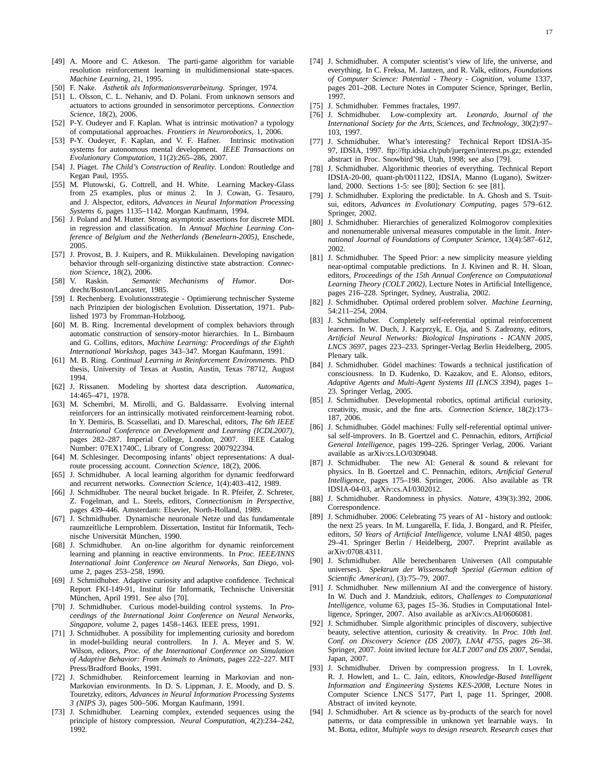- [49] A. Moore and C. Atkeson. The parti-game algorithm for variable resolution reinforcement learning in multidimensional state-spaces. *Machine Learning*, 21, 1995.
- [50] F. Nake. *Asthetik als Informationsverarbeitung*. Springer, 1974.
- [51] L. Olsson, C. L. Nehaniv, and D. Polani. From unknown sensors and actuators to actions grounded in sensorimotor perceptions. *Connection Science*, 18(2), 2006.
- [52] P-Y. Oudeyer and F. Kaplan. What is intrinsic motivation? a typology of computational approaches. *Frontiers in Neurorobotics*, 1, 2006.
- [53] P-Y. Oudeyer, F. Kaplan, and V. F. Hafner. Intrinsic motivation systems for autonomous mental development. *IEEE Transactions on Evolutionary Computation*, 11(2):265–286, 2007.
- [54] J. Piaget. *The Child's Construction of Reality*. London: Routledge and Kegan Paul, 1955.
- [55] M. Plutowski, G. Cottrell, and H. White. Learning Mackey-Glass from 25 examples, plus or minus 2. In J. Cowan, G. Tesauro, and J. Alspector, editors, *Advances in Neural Information Processing Systems 6*, pages 1135–1142. Morgan Kaufmann, 1994.
- [56] J. Poland and M. Hutter. Strong asymptotic assertions for discrete MDL in regression and classification. In *Annual Machine Learning Conference of Belgium and the Netherlands (Benelearn-2005)*, Enschede, 2005.
- [57] J. Provost, B. J. Kuipers, and R. Miikkulainen. Developing navigation behavior through self-organizing distinctive state abstraction. *Connection Science*, 18(2), 2006.
- [58] V. Raskin. *Semantic Mechanisms of Humor*. Dordrecht/Boston/Lancaster, 1985.
- [59] I. Rechenberg. Evolutionsstrategie Optimierung technischer Systeme nach Prinzipien der biologischen Evolution. Dissertation, 1971. Published 1973 by Fromman-Holzboog.
- [60] M. B. Ring. Incremental development of complex behaviors through automatic construction of sensory-motor hierarchies. In L. Birnbaum and G. Collins, editors, *Machine Learning: Proceedings of the Eighth International Workshop*, pages 343–347. Morgan Kaufmann, 1991.
- [61] M. B. Ring. *Continual Learning in Reinforcement Environments*. PhD thesis, University of Texas at Austin, Austin, Texas 78712, August 1994.
- [62] J. Rissanen. Modeling by shortest data description. *Automatica*, 14:465–471, 1978.
- [63] M. Schembri, M. Mirolli, and G. Baldassarre. Evolving internal reinforcers for an intrinsically motivated reinforcement-learning robot. In Y. Demiris, B. Scassellati, and D. Mareschal, editors, *The 6th IEEE International Conference on Development and Learning (ICDL2007)*, pages 282–287. Imperial College, London, 2007. IEEE Catalog Number: 07EX1740C, Library of Congress: 2007922394.
- [64] M. Schlesinger. Decomposing infants' object representations: A dualroute processing account. *Connection Science*, 18(2), 2006.
- [65] J. Schmidhuber. A local learning algorithm for dynamic feedforward and recurrent networks. *Connection Science*, 1(4):403–412, 1989.
- [66] J. Schmidhuber. The neural bucket brigade. In R. Pfeifer, Z. Schreter, Z. Fogelman, and L. Steels, editors, *Connectionism in Perspective*, pages 439–446. Amsterdam: Elsevier, North-Holland, 1989.
- [67] J. Schmidhuber. Dynamische neuronale Netze und das fundamentale raumzeitliche Lernproblem. Dissertation, Institut für Informatik, Technische Universität München, 1990.
- [68] J. Schmidhuber. An on-line algorithm for dynamic reinforcement learning and planning in reactive environments. In *Proc. IEEE/INNS International Joint Conference on Neural Networks, San Diego*, volume 2, pages 253–258, 1990.
- [69] J. Schmidhuber. Adaptive curiosity and adaptive confidence. Technical Report FKI-149-91, Institut für Informatik, Technische Universität München, April 1991. See also [70].
- [70] J. Schmidhuber. Curious model-building control systems. In *Proceedings of the International Joint Conference on Neural Networks, Singapore*, volume 2, pages 1458–1463. IEEE press, 1991.
- [71] J. Schmidhuber. A possibility for implementing curiosity and boredom in model-building neural controllers. In J. A. Meyer and S. W. Wilson, editors, *Proc. of the International Conference on Simulation of Adaptive Behavior: From Animals to Animats*, pages 222–227. MIT Press/Bradford Books, 1991.
- [72] J. Schmidhuber. Reinforcement learning in Markovian and non-Markovian environments. In D. S. Lippman, J. E. Moody, and D. S. Touretzky, editors, *Advances in Neural Information Processing Systems 3 (NIPS 3)*, pages 500–506. Morgan Kaufmann, 1991.
- [73] J. Schmidhuber. Learning complex, extended sequences using the principle of history compression. *Neural Computation*, 4(2):234–242, 1992.
- [74] J. Schmidhuber. A computer scientist's view of life, the universe, and everything. In C. Freksa, M. Jantzen, and R. Valk, editors, *Foundations of Computer Science: Potential - Theory - Cognition*, volume 1337, pages 201–208. Lecture Notes in Computer Science, Springer, Berlin, 1997.
- [75] J. Schmidhuber. Femmes fractales, 1997.
- [76] J. Schmidhuber. Low-complexity art. *Leonardo, Journal of the International Society for the Arts, Sciences, and Technology*, 30(2):97– 103, 1997.
- [77] J. Schmidhuber. What's interesting? Technical Report IDSIA-35- 97, IDSIA, 1997. ftp://ftp.idsia.ch/pub/juergen/interest.ps.gz; extended abstract in Proc. Snowbird'98, Utah, 1998; see also [79].
- [78] J. Schmidhuber. Algorithmic theories of everything. Technical Report IDSIA-20-00, quant-ph/0011122, IDSIA, Manno (Lugano), Switzerland, 2000. Sections 1-5: see [80]; Section 6: see [81].
- [79] J. Schmidhuber. Exploring the predictable. In A. Ghosh and S. Tsuitsui, editors, *Advances in Evolutionary Computing*, pages 579–612. Springer, 2002.
- [80] J. Schmidhuber. Hierarchies of generalized Kolmogorov complexities and nonenumerable universal measures computable in the limit. *International Journal of Foundations of Computer Science*, 13(4):587–612, 2002.
- [81] J. Schmidhuber. The Speed Prior: a new simplicity measure yielding near-optimal computable predictions. In J. Kivinen and R. H. Sloan, editors, *Proceedings of the 15th Annual Conference on Computational Learning Theory (COLT 2002)*, Lecture Notes in Artificial Intelligence, pages 216–228. Springer, Sydney, Australia, 2002.
- [82] J. Schmidhuber. Optimal ordered problem solver. *Machine Learning*, 54:211–254, 2004.
- [83] J. Schmidhuber. Completely self-referential optimal reinforcement learners. In W. Duch, J. Kacprzyk, E. Oja, and S. Zadrozny, editors, *Artificial Neural Networks: Biological Inspirations - ICANN 2005, LNCS 3697*, pages 223–233. Springer-Verlag Berlin Heidelberg, 2005. Plenary talk.
- [84] J. Schmidhuber. Gödel machines: Towards a technical justification of consciousness. In D. Kudenko, D. Kazakov, and E. Alonso, editors, *Adaptive Agents and Multi-Agent Systems III (LNCS 3394)*, pages 1– 23. Springer Verlag, 2005.
- [85] J. Schmidhuber. Developmental robotics, optimal artificial curiosity, creativity, music, and the fine arts. *Connection Science*, 18(2):173– 187, 2006.
- [86] J. Schmidhuber. Gödel machines: Fully self-referential optimal universal self-improvers. In B. Goertzel and C. Pennachin, editors, *Artificial General Intelligence*, pages 199–226. Springer Verlag, 2006. Variant available as arXiv:cs.LO/0309048.
- [87] J. Schmidhuber. The new AI: General & sound & relevant for physics. In B. Goertzel and C. Pennachin, editors, *Artificial General Intelligence*, pages 175–198. Springer, 2006. Also available as TR IDSIA-04-03, arXiv:cs.AI/0302012.
- [88] J. Schmidhuber. Randomness in physics. *Nature*, 439(3):392, 2006. Correspondence.
- [89] J. Schmidhuber. 2006: Celebrating 75 years of AI history and outlook: the next 25 years. In M. Lungarella, F. Iida, J. Bongard, and R. Pfeifer, editors, *50 Years of Artificial Intelligence*, volume LNAI 4850, pages 29–41. Springer Berlin / Heidelberg, 2007. Preprint available as arXiv:0708.4311.
- [90] J. Schmidhuber. Alle berechenbaren Universen (All computable universes). *Spektrum der Wissenschaft Spezial (German edition of Scientific American)*, (3):75–79, 2007.
- [91] J. Schmidhuber. New millennium AI and the convergence of history. In W. Duch and J. Mandziuk, editors, *Challenges to Computational Intelligence*, volume 63, pages 15–36. Studies in Computational Intelligence, Springer, 2007. Also available as arXiv:cs.AI/0606081.
- [92] J. Schmidhuber. Simple algorithmic principles of discovery, subjective beauty, selective attention, curiosity & creativity. In *Proc. 10th Intl. Conf. on Discovery Science (DS 2007), LNAI 4755*, pages 26–38. Springer, 2007. Joint invited lecture for *ALT 2007 and DS 2007*, Sendai, Japan, 2007.
- [93] J. Schmidhuber. Driven by compression progress. In I. Lovrek, R. J. Howlett, and L. C. Jain, editors, *Knowledge-Based Intelligent Information and Engineering Systems KES-2008*, Lecture Notes in Computer Science LNCS 5177, Part I, page 11. Springer, 2008. Abstract of invited keynote.
- [94] J. Schmidhuber. Art & science as by-products of the search for novel patterns, or data compressible in unknown yet learnable ways. In M. Botta, editor, *Multiple ways to design research. Research cases that*